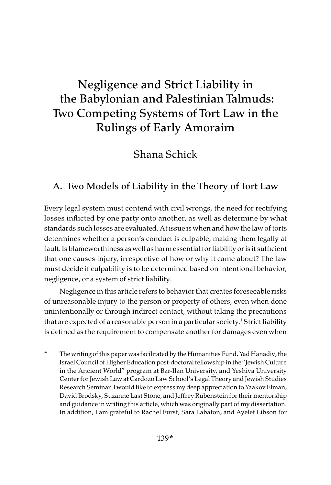# Negligence and Strict Liability in the Babylonian and Palestinian Talmuds: Two Competing Systems of Tort Law in the Rulings of Early Amoraim

Shana Schick

# A. Two Models of Liability in the Theory of Tort Law

Every legal system must contend with civil wrongs, the need for rectifying losses inflicted by one party onto another, as well as determine by what standards such losses are evaluated. At issue is when and how the law of torts determines whether a person's conduct is culpable, making them legally at fault. Is blameworthiness as well as harm essential for liability or is it sufficient that one causes injury, irrespective of how or why it came about? The law must decide if culpability is to be determined based on intentional behavior, negligence, or a system of strict liability.

Negligence in this article refers to behavior that creates foreseeable risks of unreasonable injury to the person or property of others, even when done unintentionally or through indirect contact, without taking the precautions that are expected of a reasonable person in a particular society.<sup>1</sup> Strict liability is defined as the requirement to compensate another for damages even when

\* The writing of this paper was facilitated by the Humanities Fund, Yad Hanadiv, the Israel Council of Higher Education post-doctoral fellowship in the "Jewish Culture in the Ancient World" program at Bar-Ilan University, and Yeshiva University Center for Jewish Law at Cardozo Law School's Legal Theory and Jewish Studies Research Seminar. I would like to express my deep appreciation to Yaakov Elman, David Brodsky, Suzanne Last Stone, and Jeffrey Rubenstein for their mentorship and guidance in writing this article, which was originally part of my dissertation. In addition, I am grateful to Rachel Furst, Sara Labaton, and Ayelet Libson for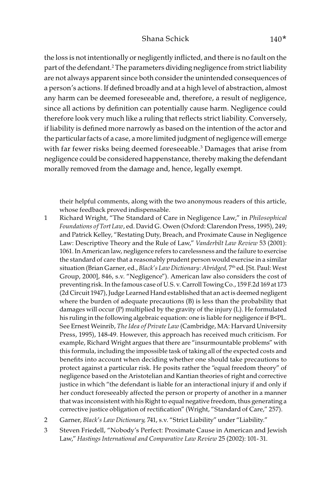the loss is not intentionally or negligently inflicted, and there is no fault on the part of the defendant.2 The parameters dividing negligence from strict liability are not always apparent since both consider the unintended consequences of a person's actions. If defined broadly and at a high level of abstraction, almost any harm can be deemed foreseeable and, therefore, a result of negligence, since all actions by definition can potentially cause harm. Negligence could therefore look very much like a ruling that reflects strict liability. Conversely, if liability is defined more narrowly as based on the intention of the actor and the particular facts of a case, a more limited judgment of negligence will emerge with far fewer risks being deemed foreseeable.<sup>3</sup> Damages that arise from negligence could be considered happenstance, thereby making the defendant morally removed from the damage and, hence, legally exempt.

their helpful comments, along with the two anonymous readers of this article, whose feedback proved indispensable.

- 1 Richard Wright, "The Standard of Care in Negligence Law," in Philosophical Foundations of Tort Law, ed. David G. Owen (Oxford: Clarendon Press, 1995), 249; and Patrick Kelley, "Restating Duty, Breach, and Proximate Cause in Negligence Law: Descriptive Theory and the Rule of Law," Vanderbilt Law Review 53 (2001): 1061. In American law, negligence refers to carelessness and the failure to exercise the standard of care that a reasonably prudent person would exercise in a similar situation (Brian Garner, ed., Black's Law Dictionary: Abridged, 7<sup>th</sup> ed. [St. Paul: West Group, 2000], 846, s.v. "Negligence"). American law also considers the cost of preventing risk. In the famous case of U.S. v. Carroll Towing Co., 159 F.2d 169 at 173 (2d Circuit 1947), Judge Learned Hand established that an actis deemed negligent where the burden of adequate precautions (B) is less than the probability that damages will occur (P) multiplied by the gravity of the injury (L). He formulated his ruling in the following algebraic equation: one is liable for negligence if B<PL. See Ernest Weinrib, The Idea of Private Law (Cambridge, MA: Harvard University Press, 1995), 148-49. However, this approach has received much criticism. For example, Richard Wright argues that there are "insurmountable problems" with this formula, including the impossible task of taking all of the expected costs and benefits into account when deciding whether one should take precautions to protect against a particular risk. He posits rather the "equal freedom theory" of negligence based on the Aristotelian and Kantian theories ofright and corrective justice in which "the defendant is liable for an interactional injury if and only if her conduct foreseeably affected the person or property of another in a manner that was inconsistent with his Right to equal negative freedom, thus generating a corrective justice obligation of rectification" (Wright, "Standard of Care," 257).
- 2 Garner, Black's Law Dictionary, 741, s.v. "Strict Liability" under "Liability."
- 3 Steven Friedell, "Nobody's Perfect: Proximate Cause in American and Jewish Law," Hastings International and Comparative Law Review 25 (2002): 101- 31.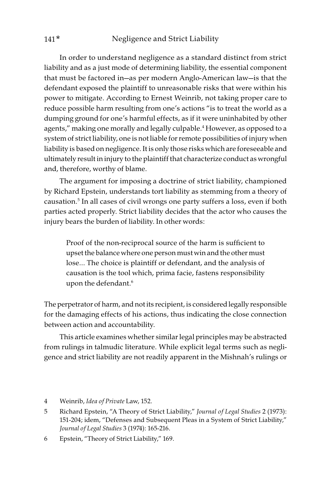In order to understand negligence as a standard distinct from strict liability and as a just mode of determining liability, the essential component that must be factored in—as per modern Anglo-American law—is that the defendant exposed the plaintiff to unreasonable risks that were within his power to mitigate. According to Ernest Weinrib, not taking proper care to reduce possible harm resulting from one's actions "is to treat the world as a dumping ground for one's harmful effects, as if it were uninhabited by other agents," making one morally and legally culpable.<sup>4</sup> However, as opposed to a system of strict liability, one is not liable for remote possibilities of injury when liability is based on negligence. It is only those risks which are foreseeable and ultimately result in injury to the plaintiff that characterize conduct as wrongful and, therefore, worthy of blame.

The argument for imposing a doctrine of strict liability, championed by Richard Epstein, understands tort liability as stemming from a theory of causation.5 In all cases of civil wrongs one party suffers a loss, even if both parties acted properly. Strict liability decides that the actor who causes the injury bears the burden of liability. In other words:

Proof of the non-reciprocal source of the harm is sufficient to upset the balance where one person must win and the other must lose… The choice is plaintiff or defendant, and the analysis of causation is the tool which, prima facie, fastens responsibility upon the defendant.<sup>6</sup>

The perpetrator of harm, and not its recipient, is considered legally responsible for the damaging effects of his actions, thus indicating the close connection between action and accountability.

This article examines whether similar legal principles may be abstracted from rulings in talmudic literature. While explicit legal terms such as negligence and strict liability are not readily apparent in the Mishnah's rulings or

6 Epstein, "Theory of Strict Liability," 169.

<sup>4</sup> Weinrib, Idea of Private Law, 152.

<sup>5</sup> Richard Epstein, "A Theory of Strict Liability," Journal of Legal Studies 2 (1973): 151-204; idem, "Defenses and Subsequent Pleas in a System of Strict Liability," Journal of Legal Studies 3 (1974): 165-216.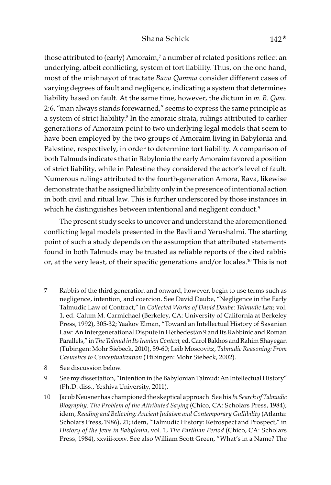## Shana Schick 142<sup>\*</sup>

those attributed to (early) Amoraim,<sup>7</sup> a number of related positions reflect an underlying, albeit conflicting, system of tort liability. Thus, on the one hand, most of the mishnayot of tractate Bava Qamma consider different cases of varying degrees of fault and negligence, indicating a system that determines liability based on fault. At the same time, however, the dictum in m. B. Qam. 2:6, "man always stands forewarned," seems to express the same principle as a system of strict liability.<sup>8</sup> In the amoraic strata, rulings attributed to earlier generations of Amoraim point to two underlying legal models that seem to have been employed by the two groups of Amoraim living in Babylonia and Palestine, respectively, in order to determine tort liability. A comparison of both Talmuds indicates that in Babylonia the early Amoraim favored a position of strict liability, while in Palestine they considered the actor's level of fault. Numerous rulings attributed to the fourth-generation Amora, Rava, likewise demonstrate that he assigned liability only in the presence of intentional action in both civil and ritual law. This is further underscored by those instances in which he distinguishes between intentional and negligent conduct.<sup>9</sup>

The present study seeks to uncover and understand the aforementioned conflicting legal models presented in the Bavli and Yerushalmi. The starting point of such a study depends on the assumption that attributed statements found in both Talmuds may be trusted as reliable reports of the cited rabbis or, at the very least, of their specific generations and/or locales.<sup>10</sup> This is not

- 7 Rabbis of the third generation and onward, however, begin to use terms such as negligence, intention, and coercion. See David Daube, "Negligence in the Early Talmudic Law of Contract," in Collected Works of David Daube: Talmudic Law, vol. 1, ed. Calum M. Carmichael (Berkeley, CA: University of California at Berkeley Press, 1992), 305-32; Yaakov Elman, "Toward an Intellectual History of Sasanian Law: An Intergenerational Dispute in Hērbedestān 9 and Its Rabbinic and Roman Parallels," in The Talmud in Its Iranian Context, ed. Carol Bakhos and Rahim Shayegan (Tübingen: Mohr Siebeck, 2010), 59-60; Leib Moscovitz, Talmudic Reasoning: From Casuistics to Conceptualization (Tübingen: Mohr Siebeck, 2002).
- 8 See discussion below.
- 9 See my dissertation, "Intention in the Babylonian Talmud: An Intellectual History" (Ph.D. diss., Yeshiva University, 2011).
- 10 Jacob Neusner has championed the skeptical approach. See his In Search of Talmudic Biography: The Problem of the Attributed Saying (Chico, CA: Scholars Press, 1984); idem, Reading and Believing: Ancient Judaism and Contemporary Gullibility (Atlanta: Scholars Press, 1986), 21; idem, "Talmudic History: Retrospect and Prospect," in History of the Jews in Babylonia, vol. 1, The Parthian Period (Chico, CA: Scholars Press, 1984), xxviii-xxxv. See also William Scott Green, "What's in a Name? The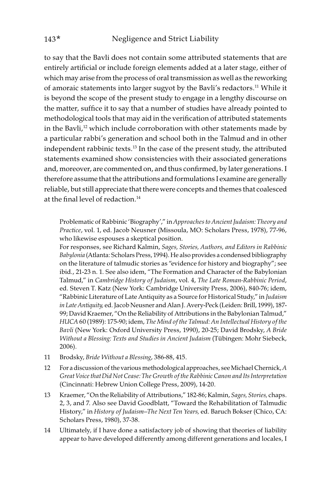to say that the Bavli does not contain some attributed statements that are entirely artificial or include foreign elements added at a later stage, either of which may arise from the process of oral transmission as well as the reworking of amoraic statements into larger sugyot by the Bavli's redactors.<sup>11</sup> While it is beyond the scope of the present study to engage in a lengthy discourse on the matter, suffice it to say that a number of studies have already pointed to methodological tools that may aid in the verification of attributed statements in the Bavli,<sup>12</sup> which include corroboration with other statements made by a particular rabbi's generation and school both in the Talmud and in other independent rabbinic texts.<sup>13</sup> In the case of the present study, the attributed statements examined show consistencies with their associated generations and, moreover, are commented on, and thus confirmed, by later generations. I therefore assume that the attributions and formulations I examine are generally reliable, but still appreciate that there were concepts and themes that coalesced at the final level of redaction.<sup>14</sup>

Problematic of Rabbinic 'Biography'," in Approaches to Ancient Judaism: Theory and Practice, vol. 1, ed. Jacob Neusner (Missoula, MO: Scholars Press, 1978), 77-96, who likewise espouses a skeptical position.

For responses, see Richard Kalmin, Sages, Stories, Authors, and Editors in Rabbinic Babylonia (Atlanta: Scholars Press, 1994). He also provides a condensed bibliography on the literature of talmudic stories as "evidence for history and biography"; see ibid., 21-23 n. 1. See also idem, "The Formation and Character of the Babylonian Talmud," in Cambridge History of Judaism, vol. 4, The Late Roman-Rabbinic Period, ed. Steven T. Katz (New York: Cambridge University Press, 2006), 840-76; idem, "Rabbinic Literature of Late Antiquity as a Source for Historical Study," in Judaism in Late Antiquity, ed. Jacob Neusner and Alan J. Avery-Peck (Leiden: Brill, 1999), 187- 99; David Kraemer, "On the Reliability of Attributions in the Babylonian Talmud," HUCA 60 (1989): 175-90; idem, The Mind of the Talmud: An Intellectual History of the Bavli (New York: Oxford University Press, 1990), 20-25; David Brodsky, A Bride Without a Blessing: Texts and Studies in Ancient Judaism (Tübingen: Mohr Siebeck, 2006).

- 11 Brodsky, Bride Without a Blessing, 386-88, 415.
- 12 For a discussion of the various methodological approaches, see Michael Chernick, A Great Voice that Did Not Cease: The Growth of the Rabbinic Canon and Its Interpretation (Cincinnati: Hebrew Union College Press, 2009), 14-20.
- 13 Kraemer, "On the Reliability of Attributions," 182-86; Kalmin, Sages, Stories, chaps. 2, 3, and 7. Also see David Goodblatt, "Toward the Rehabilitation of Talmudic History," in History of Judaism—The Next Ten Years, ed. Baruch Bokser (Chico, CA: Scholars Press, 1980), 37-38.
- 14 Ultimately, if I have done a satisfactory job of showing that theories of liability appear to have developed differently among different generations and locales, I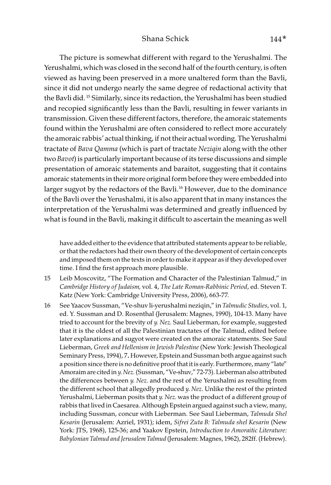## Shana Schick 144\*

The picture is somewhat different with regard to the Yerushalmi. The Yerushalmi, which was closed in the second half of the fourth century, is often viewed as having been preserved in a more unaltered form than the Bavli, since it did not undergo nearly the same degree of redactional activity that the Bavli did. 15 Similarly, since its redaction, the Yerushalmi has been studied and recopied significantly less than the Bavli, resulting in fewer variants in transmission. Given these different factors, therefore, the amoraic statements found within the Yerushalmi are often considered to reflect more accurately the amoraic rabbis' actual thinking, if not their actual wording. The Yerushalmi tractate of Bava Qamma (which is part of tractate Neziqin along with the other two Bavot) is particularly important because of its terse discussions and simple presentation of amoraic statements and baraitot, suggesting that it contains amoraic statements in their more original form before they were embedded into larger sugyot by the redactors of the Bavli.<sup>16</sup> However, due to the dominance of the Bavli over the Yerushalmi, it is also apparent that in many instances the interpretation of the Yerushalmi was determined and greatly influenced by what is found in the Bavli, making it difficult to ascertain the meaning as well

have added either to the evidence that attributed statements appear to be reliable, or that the redactors had their own theory of the development of certain concepts and imposed them on the texts in order to make it appear as if they developed over time. I find the first approach more plausible.

- 15 Leib Moscovitz, "The Formation and Character of the Palestinian Talmud," in Cambridge History of Judaism, vol. 4, The Late Roman-Rabbinic Period, ed. Steven T. Katz (New York: Cambridge University Press, 2006), 663-77.
- 16 See Yaacov Sussman, "Ve-shuv li-yerushalmi neziqin," in Talmudic Studies, vol. 1, ed. Y. Sussman and D. Rosenthal (Jerusalem: Magnes, 1990), 104-13. Many have tried to account for the brevity of y. Nez. Saul Lieberman, for example, suggested that it is the oldest of all the Palestinian tractates of the Talmud, edited before later explanations and sugyot were created on the amoraic statements. See Saul Lieberman, Greek and Hellenism in Jewish Palestine (New York: Jewish Theological Seminary Press, 1994), 7. However, Epstein and Sussman both argue against such a position since there is no definitive proof that it is early. Furthermore, many "late" Amoraim are cited in y. Nez. (Sussman, "Ve-shuv," 72-73). Lieberman also attributed the differences between y. Nez. and the rest of the Yerushalmi as resulting from the different school that allegedly produced y. Nez. Unlike the rest of the printed Yerushalmi, Lieberman posits that y. Nez. was the product of a different group of rabbis that lived in Caesarea. Although Epstein argued against such a view, many, including Sussman, concur with Lieberman. See Saul Lieberman, Talmuda Shel Kesarin (Jerusalem: Azriel, 1931); idem, Sifrei Zuta B: Talmuda shel Kesarin (New York: JTS, 1968), 125-36; and Yaakov Epstein, Introduction to Amoraitic Literature: Babylonian Talmud and Jerusalem Talmud (Jerusalem: Magnes, 1962), 282ff. (Hebrew).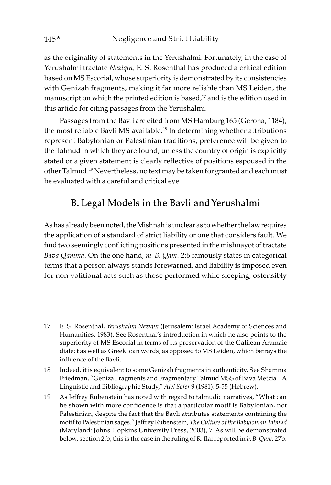as the originality of statements in the Yerushalmi. Fortunately, in the case of Yerushalmi tractate Nezigin, E. S. Rosenthal has produced a critical edition based on MS Escorial, whose superiority is demonstrated by its consistencies with Genizah fragments, making it far more reliable than MS Leiden, the manuscript on which the printed edition is based, $17$  and is the edition used in this article for citing passages from the Yerushalmi.

Passages from the Bavli are cited from MS Hamburg 165 (Gerona, 1184), the most reliable Bavli MS available.<sup>18</sup> In determining whether attributions represent Babylonian or Palestinian traditions, preference will be given to the Talmud in which they are found, unless the country of origin is explicitly stated or a given statement is clearly reflective of positions espoused in the other Talmud.19 Nevertheless, no text may be taken for granted and each must be evaluated with a careful and critical eye.

# B. Legal Models in the Bavli and Yerushalmi

As has already been noted, the Mishnah is unclear as to whether the law requires the application of a standard of strict liability or one that considers fault. We find two seemingly conflicting positions presented in the mishnayot of tractate Bava Qamma. On the one hand, m. B. Qam. 2:6 famously states in categorical terms that a person always stands forewarned, and liability is imposed even for non-volitional acts such as those performed while sleeping, ostensibly

- 17 E. S. Rosenthal, Yerushalmi Neziqin (Jerusalem: Israel Academy of Sciences and Humanities, 1983). See Rosenthal's introduction in which he also points to the superiority of MS Escorial in terms of its preservation of the Galilean Aramaic dialect as well as Greek loan words, as opposed to MS Leiden, which betrays the influence of the Bavli.
- 18 Indeed, it is equivalent to some Genizah fragments in authenticity. See Shamma Friedman, "Geniza Fragments and Fragmentary Talmud MSS of Bava Metzia – A Linguistic and Bibliographic Study," Alei Sefer 9 (1981): 5-55 (Hebrew).
- 19 As Jeffrey Rubenstein has noted with regard to talmudic narratives, "What can be shown with more confidence is that a particular motif is Babylonian, not Palestinian, despite the fact that the Bavli attributes statements containing the motif to Palestinian sages." Jeffrey Rubenstein, The Culture of the Babylonian Talmud (Maryland: Johns Hopkins University Press, 2003), 7. As will be demonstrated below, section 2.b, this is the case in the ruling of R. Ilai reported in b. B. Qam. 27b.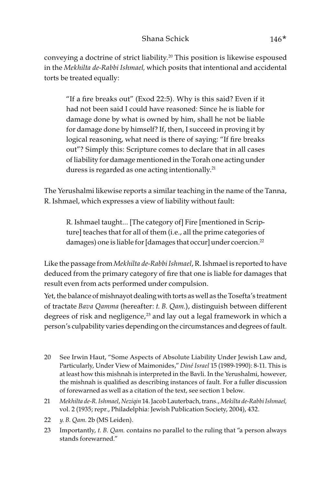conveying a doctrine of strict liability.20 This position is likewise espoused in the Mekhilta de-Rabbi Ishmael, which posits that intentional and accidental torts be treated equally:

"If a fire breaks out" (Exod 22:5). Why is this said? Even if it had not been said I could have reasoned: Since he is liable for damage done by what is owned by him, shall he not be liable for damage done by himself? If, then, I succeed in proving it by logical reasoning, what need is there of saying: "If fire breaks out"? Simply this: Scripture comes to declare that in all cases of liability for damage mentioned in the Torah one acting under duress is regarded as one acting intentionally.<sup>21</sup>

The Yerushalmi likewise reports a similar teaching in the name of the Tanna, R. Ishmael, which expresses a view of liability without fault:

R. Ishmael taught... [The category of] Fire [mentioned in Scripture] teaches that for all of them (i.e., all the prime categories of damages) one is liable for [damages that occur] under coercion.<sup>22</sup>

Like the passage from Mekhilta de-Rabbi Ishmael, R. Ishmael is reported to have deduced from the primary category of fire that one is liable for damages that result even from acts performed under compulsion.

Yet, the balance of mishnayot dealing with torts as well as the Tosefta's treatment of tractate Bava Qamma (hereafter: t. B. Qam.), distinguish between different degrees of risk and negligence, $23$  and lay out a legal framework in which a person's culpability varies depending on the circumstances and degrees of fault.

- 20 See Irwin Haut, "Some Aspects of Absolute Liability Under Jewish Law and, Particularly, Under View of Maimonides," Diné Israel 15 (1989-1990): 8-11. This is at least how this mishnah is interpreted in the Bavli. In the Yerushalmi, however, the mishnah is qualified as describing instances of fault. For a fuller discussion of forewarned as well as a citation of the text, see section 1 below.
- 21 Mekhilta de-R. Ishmael, Neziqin 14. Jacob Lauterbach, trans., Mekilta de-Rabbi Ishmael, vol. 2 (1935; repr., Philadelphia: Jewish Publication Society, 2004), 432.
- 22 y. B. Qam. 2b (MS Leiden).
- 23 Importantly,  $t. B. Qam.$  contains no parallel to the ruling that "a person always" stands forewarned."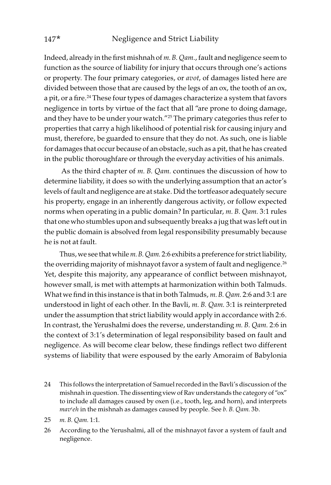Indeed, already in the first mishnah of m. B. Qam., fault and negligence seem to function as the source of liability for injury that occurs through one's actions or property. The four primary categories, or avot, of damages listed here are divided between those that are caused by the legs of an ox, the tooth of an ox, a pit, or a fire.<sup>24</sup> These four types of damages characterize a system that favors negligence in torts by virtue of the fact that all "are prone to doing damage, and they have to be under your watch."25 The primary categories thus refer to properties that carry a high likelihood of potential risk for causing injury and must, therefore, be guarded to ensure that they do not. As such, one is liable for damages that occur because of an obstacle, such as a pit, that he has created in the public thoroughfare or through the everyday activities of his animals.

As the third chapter of m. B. Qam. continues the discussion of how to determine liability, it does so with the underlying assumption that an actor's levels of fault and negligence are at stake. Did the tortfeasor adequately secure his property, engage in an inherently dangerous activity, or follow expected norms when operating in a public domain? In particular, m. B. Qam. 3:1 rules that one who stumbles upon and subsequently breaks a jug that was left out in the public domain is absolved from legal responsibility presumably because he is not at fault.

Thus, we see that while m. B. Qam. 2:6 exhibits a preference for strict liability, the overriding majority of mishnayot favor a system of fault and negligence.<sup>26</sup> Yet, despite this majority, any appearance of conflict between mishnayot, however small, is met with attempts at harmonization within both Talmuds. What we find in this instance is that in both Talmuds, m. B. *Oam*. 2:6 and 3:1 are understood in light of each other. In the Bavli, m. B. Qam. 3:1 is reinterpreted under the assumption that strict liability would apply in accordance with 2:6. In contrast, the Yerushalmi does the reverse, understanding m. B. Qam. 2:6 in the context of 3:1's determination of legal responsibility based on fault and negligence. As will become clear below, these findings reflect two different systems of liability that were espoused by the early Amoraim of Babylonia

- 24 This follows the interpretation of Samuel recorded in the Bavli's discussion of the mishnah in question. The dissenting view of Rav understands the category of "ox" to include all damages caused by oxen (i.e., tooth, leg, and horn), and interprets  $mav<sup>c</sup>eh$  in the mishnah as damages caused by people. See  $b$ . B. Qam. 3b.
- 25 m. B. Qam. 1:1.
- 26 According to the Yerushalmi, all of the mishnayot favor a system of fault and negligence.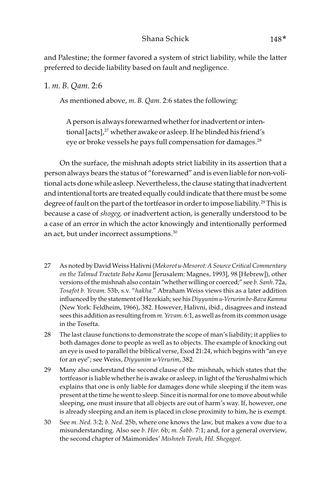## Shana Schick 148\*

and Palestine; the former favored a system of strict liability, while the latter preferred to decide liability based on fault and negligence.

## 1. m. B. Qam. 2:6

As mentioned above, m. B. Qam. 2:6 states the following:

A person is always forewarned whether for inadvertent or intentional [acts],<sup>27</sup> whether awake or asleep. If he blinded his friend's eye or broke vessels he pays full compensation for damages.<sup>28</sup>

On the surface, the mishnah adopts strict liability in its assertion that a person always bears the status of "forewarned" and is even liable for non-volitional acts done while asleep. Nevertheless, the clause stating that inadvertent and intentional torts are treated equally could indicate that there must be some degree of fault on the part of the tortfeasor in order to impose liability.<sup>29</sup> This is because a case of shogeg, or inadvertent action, is generally understood to be a case of an error in which the actor knowingly and intentionally performed an act, but under incorrect assumptions.<sup>30</sup>

- 27 As noted by David Weiss Halivni (Mekorot u-Mesorot: A Source Critical Commentary on the Talmud Tractate Baba Kama [Jerusalem: Magnes, 1993], 98 [Hebrew]), other versions of the mishnah also contain "whether willing or coerced;" see b. Sanh. 72a, Tosafot b. Yevam. 53b, s.v. "hakha." Abraham Weiss views this as a later addition influenced by the statement of Hezekiah; see his Diyyunim u-Verurim be-Bava Kamma (New York: Feldheim, 1966), 382. However, Halivni, ibid., disagrees and instead sees this addition as resulting from m. Yevam. 6:1, as well as from its common usage in the Tosefta.
- 28 The last clause functions to demonstrate the scope of man's liability; it applies to both damages done to people as well as to objects. The example of knocking out an eye is used to parallel the biblical verse, Exod 21:24, which begins with "an eye for an eye"; see Weiss, Diyyunim u-Verurim, 382.
- 29 Many also understand the second clause of the mishnah, which states that the tortfeasor is liable whether he is awake or asleep, in light of the Yerushalmi which explains that one is only liable for damages done while sleeping if the item was present at the time he went to sleep. Since it is normal for one to move about while sleeping, one must insure that all objects are out of harm's way. If, however, one is already sleeping and an item is placed in close proximity to him, he is exempt.
- 30 See m. Ned. 3:2; b. Ned. 25b, where one knows the law, but makes a vow due to a misunderstanding. Also see b. Hor. 6b; m. *Š*abb. 7:1; and, for a general overview, the second chapter of Maimonides' Mishneh Torah, Hil. Shegagot.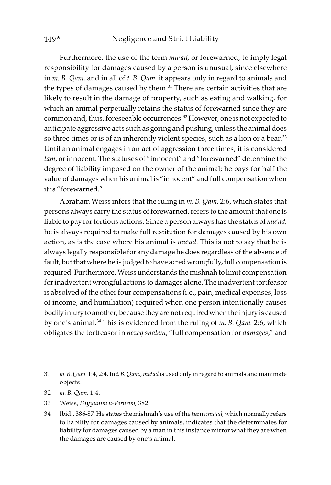Furthermore, the use of the term  $mu$ <sup>c</sup>ad, or forewarned, to imply legal responsibility for damages caused by a person is unusual, since elsewhere in m. B. Qam. and in all of t. B. Qam. it appears only in regard to animals and the types of damages caused by them.<sup>31</sup> There are certain activities that are likely to result in the damage of property, such as eating and walking, for which an animal perpetually retains the status of forewarned since they are common and, thus, foreseeable occurrences.<sup>32</sup> However, one is not expected to anticipate aggressive acts such as goring and pushing, unless the animal does so three times or is of an inherently violent species, such as a lion or a bear.<sup>33</sup> Until an animal engages in an act of aggression three times, it is considered tam, or innocent. The statuses of "innocent" and "forewarned" determine the degree of liability imposed on the owner of the animal; he pays for half the value of damages when his animal is "innocent" and full compensation when it is "forewarned."

Abraham Weiss infers that the ruling in m. B. Qam. 2:6, which states that persons always carry the status of forewarned, refers to the amount that one is liable to pay for tortious actions. Since a person always has the status of  $mu<sup>c</sup>ad$ , he is always required to make full restitution for damages caused by his own action, as is the case where his animal is  $mu<sup>c</sup>ad$ . This is not to say that he is always legally responsible for any damage he does regardless of the absence of fault, but that where he is judged to have acted wrongfully, full compensation is required. Furthermore, Weiss understands the mishnah to limit compensation for inadvertent wrongful actions to damages alone. The inadvertent tortfeasor is absolved of the other four compensations (i.e., pain, medical expenses, loss of income, and humiliation) required when one person intentionally causes bodily injury to another, because they are not required when the injury is caused by one's animal.<sup>34</sup> This is evidenced from the ruling of m. B. Qam. 2:6, which obligates the tortfeasor in nezeq shalem, "full compensation for damages," and

- 33 Weiss, Diyyunim u-Verurim, 382.
- 34 Ibid., 386-87. He states the mishnah's use of the term  $mu$ ad, which normally refers to liability for damages caused by animals, indicates that the determinates for liability for damages caused by a man in this instance mirror what they are when the damages are caused by one's animal.

<sup>31</sup> m. B. Qam. 1:4, 2:4. In t. B. Qam., mu'ad is used only in regard to animals and inanimate objects.

<sup>32</sup> m. B. Qam. 1:4.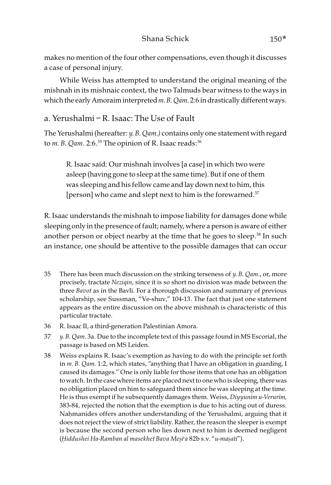makes no mention of the four other compensations, even though it discusses a case of personal injury.

While Weiss has attempted to understand the original meaning of the mishnah in its mishnaic context, the two Talmuds bear witness to the ways in which the early Amoraim interpreted m. B. Qam. 2:6 in drastically different ways.

## a. Yerushalmi – R. Isaac: The Use of Fault

The Yerushalmi (hereafter: y. B. Qam.) contains only one statement with regard to  $m$ . B. Qam. 2:6.<sup>35</sup> The opinion of R. Isaac reads:<sup>36</sup>

R. Isaac said: Our mishnah involves [a case] in which two were asleep (having gone to sleep at the same time). But if one of them was sleeping and his fellow came and lay down next to him, this [person] who came and slept next to him is the forewarned.<sup>37</sup>

R. Isaac understands the mishnah to impose liability for damages done while sleeping only in the presence of fault; namely, where a person is aware of either another person or object nearby at the time that he goes to sleep.<sup>38</sup> In such an instance, one should be attentive to the possible damages that can occur

- 35 There has been much discussion on the striking terseness of  $y$ . B. Qam., or, more precisely, tractate Neziqin, since it is so short no division was made between the three Bavot as in the Bavli. For a thorough discussion and summary of previous scholarship, see Sussman, "Ve-shuv," 104-13. The fact that just one statement appears as the entire discussion on the above mishnah is characteristic of this particular tractate.
- 36 R. Isaac II, a third-generation Palestinian Amora.
- 37 y. B. Qam. 3a. Due to the incomplete text of this passage found in MS Escorial, the passage is based on MS Leiden.
- 38 Weiss explains R. Isaac's exemption as having to do with the principle set forth in m. B. Qam. 1:2, which states, "anything that I have an obligation in guarding, I caused its damages." One is only liable for those items that one has an obligation to watch. In the case where items are placed next to one who is sleeping, there was no obligation placed on him to safeguard them since he was sleeping at the time. He is thus exempt if he subsequently damages them. Weiss, Diyyunim u-Verurim, 383-84, rejected the notion that the exemption is due to his acting out of duress. Naḥmanides offers another understanding of the Yerushalmi, arguing that it does not reject the view of strict liability. Rather, the reason the sleeper is exempt is because the second person who lies down next to him is deemed negligent (*Ḥ*iddushei Ha-Ramban al masekhet Bava Me*ṣ*i>a 82b s.v. "u-ma*ṣ*ati").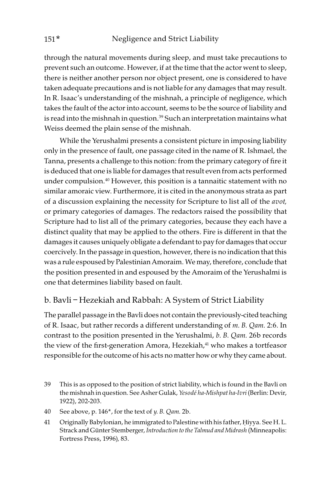through the natural movements during sleep, and must take precautions to prevent such an outcome. However, if at the time that the actor went to sleep, there is neither another person nor object present, one is considered to have taken adequate precautions and is not liable for any damages that may result. In R. Isaac's understanding of the mishnah, a principle of negligence, which takes the fault of the actor into account, seems to be the source of liability and is read into the mishnah in question. $39$  Such an interpretation maintains what Weiss deemed the plain sense of the mishnah.

While the Yerushalmi presents a consistent picture in imposing liability only in the presence of fault, one passage cited in the name of R. Ishmael, the Tanna, presents a challenge to this notion: from the primary category of fire it is deduced that one is liable for damages that result even from acts performed under compulsion.40 However, this position is a tannaitic statement with no similar amoraic view. Furthermore, it is cited in the anonymous strata as part of a discussion explaining the necessity for Scripture to list all of the *avot*, or primary categories of damages. The redactors raised the possibility that Scripture had to list all of the primary categories, because they each have a distinct quality that may be applied to the others. Fire is different in that the damages it causes uniquely obligate a defendant to pay for damages that occur coercively. In the passage in question, however, there is no indication that this was a rule espoused by Palestinian Amoraim. We may, therefore, conclude that the position presented in and espoused by the Amoraim of the Yerushalmi is one that determines liability based on fault.

## b. Bavli – Hezekiah and Rabbah: A System of Strict Liability

The parallel passage in the Bavli does not contain the previously-cited teaching of R. Isaac, but rather records a different understanding of m. B. Qam. 2:6. In contrast to the position presented in the Yerushalmi, b. B. Qam. 26b records the view of the first-generation Amora, Hezekiah,<sup>41</sup> who makes a tortfeasor responsible for the outcome of his acts no matter how or why they came about.

- 39 This is as opposed to the position of strict liability, which is found in the Bavli on the mishnah in question. See Asher Gulak, Yesodé ha-Mishpat ha-Ivri (Berlin: Devir, 1922), 202-203.
- 40 See above, p. 146\*, for the text of y. B. Qam. 2b.
- 41 Originally Babylonian, he immigrated to Palestine with his father, Ḥiyya. See H. L. Strack and Günter Stemberger, Introduction to the Talmud and Midrash (Minneapolis: Fortress Press, 1996), 83.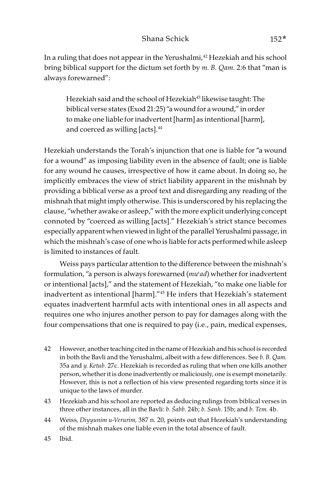In a ruling that does not appear in the Yerushalmi,<sup>42</sup> Hezekiah and his school bring biblical support for the dictum set forth by m. B. Qam. 2:6 that "man is always forewarned":

Hezekiah said and the school of Hezekiah<sup>43</sup> likewise taught: The biblical verse states (Exod 21:25) "a wound for a wound," in order to make one liable for inadvertent [harm] as intentional [harm], and coerced as willing [acts].<sup>44</sup>

Hezekiah understands the Torah's injunction that one is liable for "a wound for a wound" as imposing liability even in the absence of fault; one is liable for any wound he causes, irrespective of how it came about. In doing so, he implicitly embraces the view of strict liability apparent in the mishnah by providing a biblical verse as a proof text and disregarding any reading of the mishnah that might imply otherwise. This is underscored by his replacing the clause, "whether awake or asleep," with the more explicit underlying concept connoted by "coerced as willing [acts]." Hezekiah's strict stance becomes especially apparent when viewed in light of the parallel Yerushalmi passage, in which the mishnah's case of one who is liable for acts performed while asleep is limited to instances of fault.

Weiss pays particular attention to the difference between the mishnah's formulation, "a person is always forewarned  $(mu^{\alpha}d)$  whether for inadvertent or intentional [acts]," and the statement of Hezekiah, "to make one liable for inadvertent as intentional [harm]."45 He infers that Hezekiah's statement equates inadvertent harmful acts with intentional ones in all aspects and requires one who injures another person to pay for damages along with the four compensations that one is required to pay (i.e., pain, medical expenses,

- 42 However, another teaching cited in the name of Hezekiah and his school is recorded in both the Bavli and the Yerushalmi, albeit with a few differences. See b. B. Qam. 35a and y. Ketub. 27c. Hezekiah is recorded as ruling that when one kills another person, whether it is done inadvertently or maliciously, one is exempt monetarily. However, this is not a reflection of his view presented regarding torts since it is unique to the laws of murder.
- 43 Hezekiah and his school are reported as deducing rulings from biblical verses in three other instances, all in the Bavli: b. *Š*abb. 24b; b. Sanh. 15b; and b. Tem. 4b.
- 44 Weiss, Diyyunim u-Verurim, 387 n. 20, points out that Hezekiah's understanding of the mishnah makes one liable even in the total absence of fault.

45 Ibid.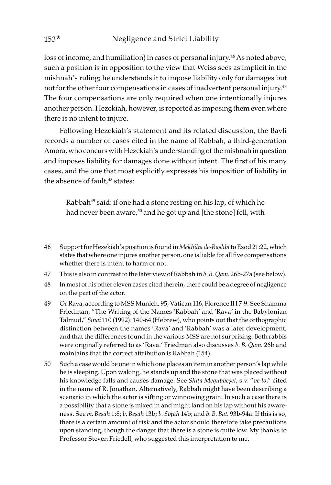loss of income, and humiliation) in cases of personal injury.<sup>46</sup> As noted above, such a position is in opposition to the view that Weiss sees as implicit in the mishnah's ruling; he understands it to impose liability only for damages but not for the other four compensations in cases of inadvertent personal injury.<sup>47</sup> The four compensations are only required when one intentionally injures another person. Hezekiah, however, is reported as imposing them even where there is no intent to injure.

Following Hezekiah's statement and its related discussion, the Bavli records a number of cases cited in the name of Rabbah, a third-generation Amora, who concurs with Hezekiah's understanding of the mishnah in question and imposes liability for damages done without intent. The first of his many cases, and the one that most explicitly expresses his imposition of liability in the absence of fault,<sup>48</sup> states:

Rabbah<sup>49</sup> said: if one had a stone resting on his lap, of which he had never been aware,<sup>50</sup> and he got up and [the stone] fell, with

- 46 Support for Hezekiah's position is found in Mekhilta de-Rashbi to Exod 21:22, which states that where one injures another person, one is liable for all five compensations whether there is intent to harm or not.
- 47 This is also in contrast to the later view of Rabbah in b. B. Qam. 26b-27a (see below).
- 48 In most of his other eleven cases cited therein, there could be a degree of negligence on the part of the actor.
- 49 Or Rava, according to MSS Munich, 95, Vatican 116, Florence II I 7-9. See Shamma Friedman, "The Writing of the Names 'Rabbah' and 'Rava' in the Babylonian Talmud," Sinai 110 (1992): 140-64 (Hebrew), who points out that the orthographic distinction between the names 'Rava' and 'Rabbah' was a later development, and that the differences found in the various MSS are not surprising. Both rabbis were originally referred to as 'Rava.' Friedman also discusses b. B. Qam. 26b and maintains that the correct attribution is Rabbah (154).
- 50 Such a case would be one in which one places an item in another person's lap while he is sleeping. Upon waking, he stands up and the stone that was placed without his knowledge falls and causes damage. See Shi*ṭ*a Mequbbe*ṣ*et, s.v. "ve-lo," cited in the name of R. Jonathan. Alternatively, Rabbah might have been describing a scenario in which the actor is sifting or winnowing grain. In such a case there is a possibility that a stone is mixed in and might land on his lap without his awareness. See m. Be*ṣ*ah 1:8; b. Be*ṣ*ah 13b; b. So*ṭ*ah 14b; and b. B. Bat. 93b-94a. If this is so, there is a certain amount of risk and the actor should therefore take precautions upon standing, though the danger that there is a stone is quite low. My thanks to Professor Steven Friedell, who suggested this interpretation to me.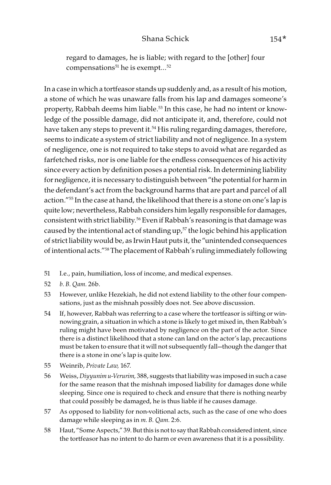regard to damages, he is liable; with regard to the [other] four compensations $51$  he is exempt... $52$ 

In a case in which a tortfeasor stands up suddenly and, as a result of his motion, a stone of which he was unaware falls from his lap and damages someone's property, Rabbah deems him liable.<sup>53</sup> In this case, he had no intent or knowledge of the possible damage, did not anticipate it, and, therefore, could not have taken any steps to prevent it.<sup>54</sup> His ruling regarding damages, therefore, seems to indicate a system of strict liability and not of negligence. In a system of negligence, one is not required to take steps to avoid what are regarded as farfetched risks, nor is one liable for the endless consequences of his activity since every action by definition poses a potential risk. In determining liability for negligence, it is necessary to distinguish between "the potential for harm in the defendant's act from the background harms that are part and parcel of all action."55 In the case at hand, the likelihood that there is a stone on one's lap is quite low; nevertheless, Rabbah considers him legally responsible for damages, consistent with strict liability.<sup>56</sup> Even if Rabbah's reasoning is that damage was caused by the intentional act of standing  $up<sub>1</sub>57$  the logic behind his application of strict liability would be, as Irwin Haut puts it, the "unintended consequences of intentional acts."58 The placement of Rabbah's ruling immediately following

- 51 I.e., pain, humiliation, loss of income, and medical expenses.
- 52 b. B. Qam. 26b.
- 53 However, unlike Hezekiah, he did not extend liability to the other four compensations, just as the mishnah possibly does not. See above discussion.
- 54 If, however, Rabbah was referring to a case where the tortfeasor is sifting or winnowing grain, a situation in which a stone is likely to get mixed in, then Rabbah's ruling might have been motivated by negligence on the part of the actor. Since there is a distinct likelihood that a stone can land on the actor's lap, precautions must be taken to ensure that it will not subsequently fall—though the danger that there is a stone in one's lap is quite low.
- 55 Weinrib, Private Law, 167.
- 56 Weiss, Diyyunim u-Verurim, 388, suggests that liability was imposed in such a case for the same reason that the mishnah imposed liability for damages done while sleeping. Since one is required to check and ensure that there is nothing nearby that could possibly be damaged, he is thus liable if he causes damage.
- 57 As opposed to liability for non-volitional acts, such as the case of one who does damage while sleeping as in *m. B. Qam.* 2:6.
- 58 Haut, "Some Aspects," 39. But this is not to say that Rabbah considered intent, since the tortfeasor has no intent to do harm or even awareness that it is a possibility.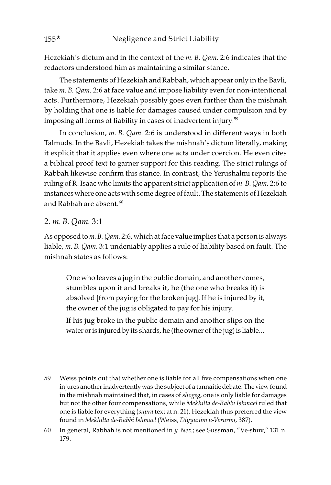Hezekiah's dictum and in the context of the m. B. Qam. 2:6 indicates that the redactors understood him as maintaining a similar stance.

The statements of Hezekiah and Rabbah, which appear only in the Bavli, take *m. B. Qam.* 2:6 at face value and impose liability even for non-intentional acts. Furthermore, Hezekiah possibly goes even further than the mishnah by holding that one is liable for damages caused under compulsion and by imposing all forms of liability in cases of inadvertent injury. 59

In conclusion, m. B. Qam. 2:6 is understood in different ways in both Talmuds. In the Bavli, Hezekiah takes the mishnah's dictum literally, making it explicit that it applies even where one acts under coercion. He even cites a biblical proof text to garner support for this reading. The strict rulings of Rabbah likewise confirm this stance. In contrast, the Yerushalmi reports the ruling of R. Isaac who limits the apparent strict application of m. B. Qam. 2:6 to instances where one acts with some degree of fault. The statements of Hezekiah and  $R$ abbah are absent. $60$ 

## 2. m. B. Qam. 3:1

As opposed to m. B. Qam. 2:6, which at face value implies that a person is always liable, m. B. Qam. 3:1 undeniably applies a rule of liability based on fault. The mishnah states as follows:

One who leaves a jug in the public domain, and another comes, stumbles upon it and breaks it, he (the one who breaks it) is absolved [from paying for the broken jug]. If he is injured by it, the owner of the jug is obligated to pay for his injury.

If his jug broke in the public domain and another slips on the water or is injured by its shards, he (the owner of the jug) is liable…

59 Weiss points out that whether one is liable for all five compensations when one injures another inadvertently was the subject of a tannaitic debate. The view found in the mishnah maintained that, in cases of *shogeg*, one is only liable for damages but not the other four compensations, while Mekhilta de-Rabbi Ishmael ruled that one is liable for everything (supra text at n. 21). Hezekiah thus preferred the view found in Mekhilta de-Rabbi Ishmael (Weiss, Diyyunim u-Verurim, 387).

<sup>60</sup> In general, Rabbah is not mentioned in y. Nez.; see Sussman, "Ve-shuv," 131 n. 179.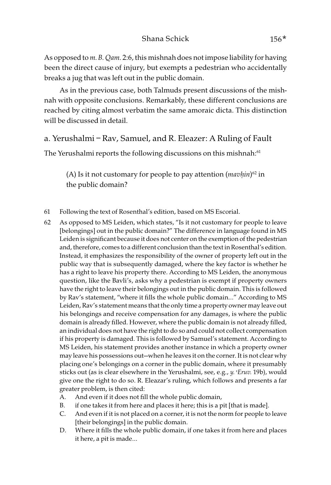As opposed to *m. B. Qam.* 2:6, this mishnah does not impose liability for having been the direct cause of injury, but exempts a pedestrian who accidentally breaks a jug that was left out in the public domain.

As in the previous case, both Talmuds present discussions of the mishnah with opposite conclusions. Remarkably, these different conclusions are reached by citing almost verbatim the same amoraic dicta. This distinction will be discussed in detail.

## a. Yerushalmi – Rav, Samuel, and R. Eleazer: A Ruling of Fault

The Yerushalmi reports the following discussions on this mishnah:<sup>61</sup>

(A) Is it not customary for people to pay attention (mav*ḥ*in) 62 in the public domain?

- 61 Following the text of Rosenthal's edition, based on MS Escorial.
- 62 As opposed to MS Leiden, which states, "Is it not customary for people to leave [belongings] out in the public domain?" The difference in language found in MS Leiden is significant because it does not center on the exemption of the pedestrian and, therefore, comes to a different conclusion than the text in Rosenthal's edition. Instead, it emphasizes the responsibility of the owner of property left out in the public way that is subsequently damaged, where the key factor is whether he has a right to leave his property there. According to MS Leiden, the anonymous question, like the Bavli's, asks why a pedestrian is exempt if property owners have the right to leave their belongings out in the public domain. This is followed by Rav's statement, "where it fills the whole public domain…" According to MS Leiden, Rav's statement means that the only time a property owner may leave out his belongings and receive compensation for any damages, is where the public domain is already filled. However, where the public domain is not already filled, an individual does not have the right to do so and could not collect compensation if his property is damaged. This is followed by Samuel's statement. According to MS Leiden, his statement provides another instance in which a property owner may leave his possessions out—when he leaves it on the corner. It is not clear why placing one's belongings on a corner in the public domain, where it presumably sticks out (as is clear elsewhere in the Yerushalmi, see, e.g., y. 'Eruv. 19b), would give one the right to do so. R. Eleazar's ruling, which follows and presents a far greater problem, is then cited:
	- A. And even if it does not fill the whole public domain,
	- B. if one takes it from here and places it here; this is a pit [that is made].
	- C. And even if it is not placed on a corner, it is not the norm for people to leave [their belongings] in the public domain.
	- D. Where it fills the whole public domain, if one takes it from here and places it here, a pit is made…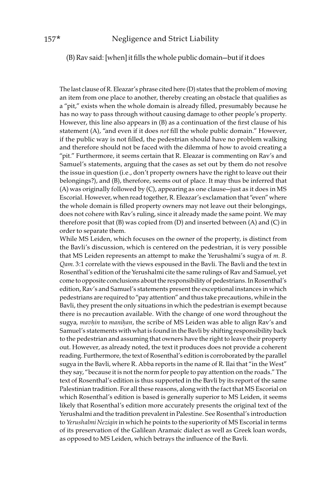(B) Rav said: [when] it fills the whole public domain—but if it does

The last clause of R. Eleazar's phrase cited here (D) states that the problem of moving an item from one place to another, thereby creating an obstacle that qualifies as a "pit," exists when the whole domain is already filled, presumably because he has no way to pass through without causing damage to other people's property. However, this line also appears in (B) as a continuation of the first clause of his statement (A), "and even if it does not fill the whole public domain." However, if the public way is not filled, the pedestrian should have no problem walking and therefore should not be faced with the dilemma of how to avoid creating a "pit." Furthermore, it seems certain that R. Eleazar is commenting on Rav's and Samuel's statements, arguing that the cases as set out by them do not resolve the issue in question (i.e., don't property owners have the right to leave out their belongings?), and (B), therefore, seems out of place. It may thus be inferred that (A) was originally followed by (C), appearing as one clause—just as it does in MS Escorial. However, when read together, R. Eleazar's exclamation that "even" where the whole domain is filled property owners may not leave out their belongings, does not cohere with Rav's ruling, since it already made the same point. We may therefore posit that (B) was copied from (D) and inserted between (A) and (C) in order to separate them.

While MS Leiden, which focuses on the owner of the property, is distinct from the Bavli's discussion, which is centered on the pedestrian, it is very possible that MS Leiden represents an attempt to make the Yerushalmi's sugya of m. B. Qam. 3:1 correlate with the views espoused in the Bavli. The Bavli and the text in Rosenthal's edition of the Yerushalmi cite the same rulings of Rav and Samuel, yet come to opposite conclusions about the responsibility of pedestrians. In Rosenthal's edition, Rav's and Samuel's statements present the exceptional instances in which pedestrians are required to "pay attention" and thus take precautions, while in the Bavli, they present the only situations in which the pedestrian is exempt because there is no precaution available. With the change of one word throughout the sugya, mav*ḥ*in to mani*ḥ*an, the scribe of MS Leiden was able to align Rav's and Samuel's statements with what is found in the Bavli by shifting responsibility back to the pedestrian and assuming that owners have the right to leave their property out. However, as already noted, the text it produces does not provide a coherent reading. Furthermore, the text of Rosenthal's edition is corroborated by the parallel sugya in the Bavli, where R. Abba reports in the name of R. Ilai that "in the West" they say, "because it is not the norm for people to pay attention on the roads." The text of Rosenthal's edition is thus supported in the Bavli by its report of the same Palestinian tradition. For all these reasons, along with the fact that MS Escorial on which Rosenthal's edition is based is generally superior to MS Leiden, it seems likely that Rosenthal's edition more accurately presents the original text of the Yerushalmi and the tradition prevalent in Palestine. See Rosenthal's introduction to Yerushalmi Neziqin in which he points to the superiority of MS Escorial in terms of its preservation of the Galilean Aramaic dialect as well as Greek loan words, as opposed to MS Leiden, which betrays the influence of the Bavli.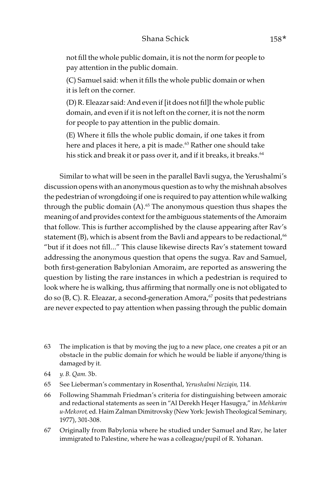not fill the whole public domain, it is not the norm for people to pay attention in the public domain.

(C) Samuel said: when it fills the whole public domain or when it is left on the corner.

(D) R. Eleazar said: And even if [it does not fil]l the whole public domain, and even if it is not left on the corner, it is not the norm for people to pay attention in the public domain.

(E) Where it fills the whole public domain, if one takes it from here and places it here, a pit is made.<sup>63</sup> Rather one should take his stick and break it or pass over it, and if it breaks, it breaks.<sup>64</sup>

Similar to what will be seen in the parallel Bavli sugya, the Yerushalmi's discussion opens with an anonymous question as to why the mishnah absolves the pedestrian of wrongdoing if one is required to pay attention while walking through the public domain  $(A)$ .<sup>65</sup> The anonymous question thus shapes the meaning of and provides context for the ambiguous statements of the Amoraim that follow. This is further accomplished by the clause appearing after Rav's statement (B), which is absent from the Bavli and appears to be redactional,  $66$ "but if it does not fill…" This clause likewise directs Rav's statement toward addressing the anonymous question that opens the sugya. Rav and Samuel, both first-generation Babylonian Amoraim, are reported as answering the question by listing the rare instances in which a pedestrian is required to look where he is walking, thus affirming that normally one is not obligated to do so (B, C). R. Eleazar, a second-generation Amora, $67$  posits that pedestrians are never expected to pay attention when passing through the public domain

- 64 y. B. Qam. 3b.
- 65 See Lieberman's commentary in Rosenthal, Yerushalmi Neziqin, 114.
- 66 Following Shammah Friedman's criteria for distinguishing between amoraic and redactional statements as seen in "Al Derekh Heqer Hasugya," in Mehkarim u-Mekorot, ed. Haim Zalman Dimitrovsky (New York: Jewish Theological Seminary, 1977), 301-308.
- 67 Originally from Babylonia where he studied under Samuel and Rav, he later immigrated to Palestine, where he was a colleague/pupil of R. Yohanan.

<sup>63</sup> The implication is that by moving the jug to a new place, one creates a pit or an obstacle in the public domain for which he would be liable if anyone/thing is damaged by it.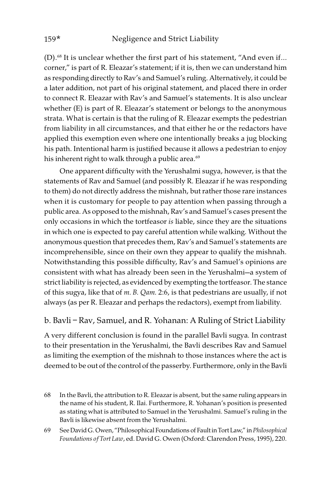(D).68 It is unclear whether the first part of his statement, "And even if… corner," is part of R. Eleazar's statement; if it is, then we can understand him as responding directly to Rav's and Samuel's ruling. Alternatively, it could be a later addition, not part of his original statement, and placed there in order to connect R. Eleazar with Rav's and Samuel's statements. It is also unclear whether (E) is part of R. Eleazar's statement or belongs to the anonymous strata. What is certain is that the ruling of R. Eleazar exempts the pedestrian from liability in all circumstances, and that either he or the redactors have applied this exemption even where one intentionally breaks a jug blocking his path. Intentional harm is justified because it allows a pedestrian to enjoy his inherent right to walk through a public area.<sup>69</sup>

One apparent difficulty with the Yerushalmi sugya, however, is that the statements of Rav and Samuel (and possibly R. Eleazar if he was responding to them) do not directly address the mishnah, but rather those rare instances when it is customary for people to pay attention when passing through a public area. As opposed to the mishnah, Rav's and Samuel's cases present the only occasions in which the tortfeasor is liable, since they are the situations in which one is expected to pay careful attention while walking. Without the anonymous question that precedes them, Rav's and Samuel's statements are incomprehensible, since on their own they appear to qualify the mishnah. Notwithstanding this possible difficulty, Rav's and Samuel's opinions are consistent with what has already been seen in the Yerushalmi—a system of strict liability is rejected, as evidenced by exempting the tortfeasor. The stance of this sugya, like that of m. B. Qam. 2:6, is that pedestrians are usually, if not always (as per R. Eleazar and perhaps the redactors), exempt from liability.

## b. Bavli – Rav, Samuel, and R. Yohanan: A Ruling of Strict Liability

A very different conclusion is found in the parallel Bavli sugya. In contrast to their presentation in the Yerushalmi, the Bavli describes Rav and Samuel as limiting the exemption of the mishnah to those instances where the act is deemed to be out of the control of the passerby. Furthermore, only in the Bavli

<sup>68</sup> In the Bavli, the attribution to R. Eleazar is absent, but the same ruling appears in the name of his student, R. Ilai. Furthermore, R. Yohanan's position is presented as stating what is attributed to Samuel in the Yerushalmi. Samuel's ruling in the Bavli is likewise absent from the Yerushalmi.

<sup>69</sup> See David G. Owen, "Philosophical Foundations of Fault in Tort Law," in Philosophical Foundations of Tort Law, ed. David G. Owen (Oxford: Clarendon Press, 1995), 220.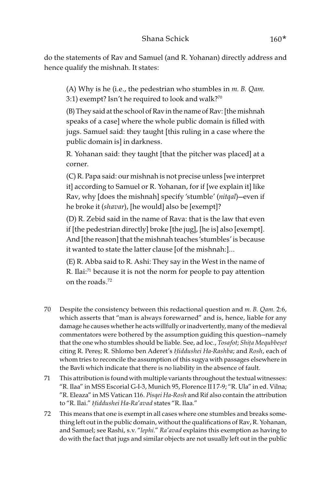do the statements of Rav and Samuel (and R. Yohanan) directly address and hence qualify the mishnah. It states:

(A) Why is he (i.e., the pedestrian who stumbles in m. B. Qam. 3:1) exempt? Isn't he required to look and walk?<sup>70</sup>

(B) They said at the school of Rav in the name of Rav: [the mishnah speaks of a case] where the whole public domain is filled with jugs. Samuel said: they taught [this ruling in a case where the public domain is] in darkness.

R. Yohanan said: they taught [that the pitcher was placed] at a corner.

(C) R. Papa said: our mishnah is not precise unless [we interpret it] according to Samuel or R. Yohanan, for if [we explain it] like Rav, why [does the mishnah] specify 'stumble' (nitqal)—even if he broke it (shavar), [he would] also be [exempt]?

(D) R. Zebid said in the name of Rava: that is the law that even if [the pedestrian directly] broke [the jug], [he is] also [exempt]. And [the reason] that the mishnah teaches 'stumbles' is because it wanted to state the latter clause [of the mishnah:]…

(E) R. Abba said to R. Ashi: They say in the West in the name of R. Ilai:71 because it is not the norm for people to pay attention on the roads.72

- 70 Despite the consistency between this redactional question and  $m$ . B. Qam. 2:6, which asserts that "man is always forewarned" and is, hence, liable for any damage he causes whether he acts willfully or inadvertently, many of the medieval commentators were bothered by the assumption guiding this question—namely that the one who stumbles should be liable. See, ad loc., Tosafot; Shi*ṭ*a Mequbbe*ṣ*et citing R. Pereṣ; R. Shlomo ben Aderet's *Ḥ*iddushei Ha-Rashba; and Rosh, each of whom tries to reconcile the assumption of this sugya with passages elsewhere in the Bavli which indicate that there is no liability in the absence of fault.
- 71 This attribution is found with multiple variants throughout the textual witnesses: "R. Ilaa" in MSS Escorial G-I-3, Munich 95, Florence II I 7-9; "R. Ula" in ed. Vilna; "R. Eleaza" in MS Vatican 116. Pisqei Ha-Rosh and Rif also contain the attribution to "R. Ilai." *Ḥ*iddushei Ha-Ra'avad states "R. Ilaa."
- 72 This means that one is exempt in all cases where one stumbles and breaks something left out in the public domain, without the qualifications of Rav, R. Yohanan, and Samuel; see Rashi, s.v. "lephi." Ra'avad explains this exemption as having to do with the fact that jugs and similar objects are not usually left out in the public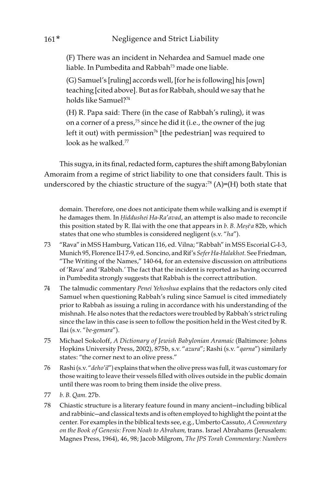(F) There was an incident in Nehardea and Samuel made one liable. In Pumbedita and Rabbah73 made one liable.

(G) Samuel's [ruling] accords well, [for he is following] his [own] teaching [cited above]. But as for Rabbah, should we say that he holds like Samuel?<sup>74</sup>

(H) R. Papa said: There (in the case of Rabbah's ruling), it was on a corner of a press,75 since he did it (i.e., the owner of the jug left it out) with permission<sup>76</sup> [the pedestrian] was required to look as he walked.<sup>77</sup>

This sugya, in its final, redacted form, captures the shift among Babylonian Amoraim from a regime of strict liability to one that considers fault. This is underscored by the chiastic structure of the sugya: $^{78}$  (A)=(H) both state that

domain. Therefore, one does not anticipate them while walking and is exempt if he damages them. In *Ḥ*iddushei Ha-Ra'avad, an attempt is also made to reconcile this position stated by R. Ilai with the one that appears in b. B. Mesi'a 82b, which states that one who stumbles is considered negligent (s.v. "ha").

- 73 "Rava" in MSS Hamburg, Vatican 116, ed. Vilna; "Rabbah" in MSS Escorial G-I-3, Munich 95, Florence II-I 7-9, ed. Soncino, and Rif's Sefer Ha-Halakhot. See Friedman, "The Writing of the Names," 140-64, for an extensive discussion on attributions of 'Rava' and 'Rabbah.' The fact that the incident is reported as having occurred in Pumbedita strongly suggests that Rabbah is the correct attribution.
- 74 The talmudic commentary Penei Yehoshua explains that the redactors only cited Samuel when questioning Rabbah's ruling since Samuel is cited immediately prior to Rabbah as issuing a ruling in accordance with his understanding of the mishnah. He also notes that the redactors were troubled by Rabbah's strict ruling since the law in this case is seen to follow the position held in the West cited by R. Ilai (s.v. "be-gemara").
- 75 Michael Sokoloff, A Dictionary of Jewish Babylonian Aramaic (Baltimore: Johns Hopkins University Press, 2002), 875b, s.v. "azura"; Rashi (s.v. "qarna") similarly states: "the corner next to an olive press."
- 76 Rashi (s.v. "deho'il") explains that when the olive press was full, it was customary for those waiting to leave their vessels filled with olives outside in the public domain until there was room to bring them inside the olive press.
- 77 b. B. Qam. 27b.
- 78 Chiastic structure is a literary feature found in many ancient—including biblical and rabbinic—and classical texts and is often employed to highlight the point at the center. For examples in the biblical texts see, e.g., Umberto Cassuto, A Commentary on the Book of Genesis: From Noah to Abraham, trans. Israel Abrahams (Jerusalem: Magnes Press, 1964), 46, 98; Jacob Milgrom, The JPS Torah Commentary: Numbers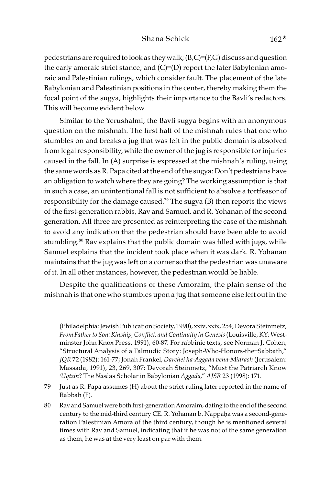pedestrians are required to look as they walk; (B,C)=(F,G) discuss and question the early amoraic strict stance; and (C)=(D) report the later Babylonian amoraic and Palestinian rulings, which consider fault. The placement of the late Babylonian and Palestinian positions in the center, thereby making them the focal point of the sugya, highlights their importance to the Bavli's redactors. This will become evident below.

Similar to the Yerushalmi, the Bavli sugya begins with an anonymous question on the mishnah. The first half of the mishnah rules that one who stumbles on and breaks a jug that was left in the public domain is absolved from legal responsibility, while the owner of the jug is responsible for injuries caused in the fall. In (A) surprise is expressed at the mishnah's ruling, using the same words as R. Papa cited at the end of the sugya: Don't pedestrians have an obligation to watch where they are going? The working assumption is that in such a case, an unintentional fall is not sufficient to absolve a tortfeasor of responsibility for the damage caused.<sup>79</sup> The sugya (B) then reports the views of the first-generation rabbis, Rav and Samuel, and R. Yohanan of the second generation. All three are presented as reinterpreting the case of the mishnah to avoid any indication that the pedestrian should have been able to avoid stumbling.<sup>80</sup> Rav explains that the public domain was filled with jugs, while Samuel explains that the incident took place when it was dark. R. Yohanan maintains that the jug was left on a corner so that the pedestrian was unaware of it. In all other instances, however, the pedestrian would be liable.

Despite the qualifications of these Amoraim, the plain sense of the mishnah is that one who stumbles upon a jug that someone else left out in the

(Philadelphia: Jewish Publication Society, 1990), xxiv, xxix, 254; Devora Steinmetz, From Father to Son: Kinship, Conflict, and Continuity in Genesis (Louisville, KY: Westminster John Knox Press, 1991), 60-87. For rabbinic texts, see Norman J. Cohen, "Structural Analysis of a Talmudic Story: Joseph-Who-Honors-the–Sabbath," JQR 72 (1982): 161-77; Jonah Frankel, Darchei ha-Aggada veha-Midrash (Jerusalem: Massada, 1991), 23, 269, 307; Devorah Steinmetz, "Must the Patriarch Know >Uqtzin? The Nasi as Scholar in Babylonian Aggada," AJSR 23 (1998): 171.

- 79 Just as R. Papa assumes (H) about the strict ruling later reported in the name of Rabbah (F).
- 80 Rav and Samuel were both first-generation Amoraim, dating to the end of the second century to the mid-third century CE. R. Yohanan b. Nappaḥa was a second-generation Palestinian Amora of the third century, though he is mentioned several times with Rav and Samuel, indicating that if he was not of the same generation as them, he was at the very least on par with them.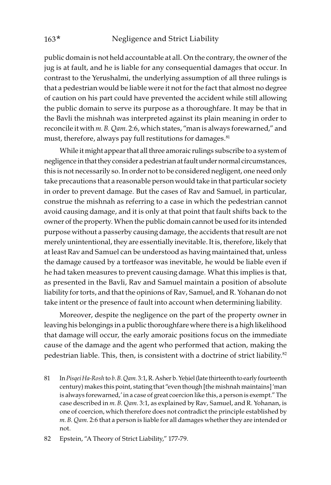public domain is not held accountable at all. On the contrary, the owner of the jug is at fault, and he is liable for any consequential damages that occur. In contrast to the Yerushalmi, the underlying assumption of all three rulings is that a pedestrian would be liable were it not for the fact that almost no degree of caution on his part could have prevented the accident while still allowing the public domain to serve its purpose as a thoroughfare. It may be that in the Bavli the mishnah was interpreted against its plain meaning in order to reconcile it with m. B. Qam. 2:6, which states, "man is always forewarned," and must, therefore, always pay full restitutions for damages.<sup>81</sup>

While it might appear that all three amoraic rulings subscribe to a system of negligence in that they consider a pedestrian at fault under normal circumstances, this is not necessarily so. In order not to be considered negligent, one need only take precautions that a reasonable person would take in that particular society in order to prevent damage. But the cases of Rav and Samuel, in particular, construe the mishnah as referring to a case in which the pedestrian cannot avoid causing damage, and it is only at that point that fault shifts back to the owner of the property. When the public domain cannot be used for its intended purpose without a passerby causing damage, the accidents that result are not merely unintentional, they are essentially inevitable. It is, therefore, likely that at least Rav and Samuel can be understood as having maintained that, unless the damage caused by a tortfeasor was inevitable, he would be liable even if he had taken measures to prevent causing damage. What this implies is that, as presented in the Bavli, Rav and Samuel maintain a position of absolute liability for torts, and that the opinions of Rav, Samuel, and R. Yohanan do not take intent or the presence of fault into account when determining liability.

Moreover, despite the negligence on the part of the property owner in leaving his belongings in a public thoroughfare where there is a high likelihood that damage will occur, the early amoraic positions focus on the immediate cause of the damage and the agent who performed that action, making the pedestrian liable. This, then, is consistent with a doctrine of strict liability.<sup>82</sup>

81 In Pisqei Ha-Rosh to b. B. Qam. 3:1, R. Asher b. Yeḥiel (late thirteenth to early fourteenth century) makes this point, stating that "even though [the mishnah maintains] 'man is always forewarned,' in a case of great coercion like this, a person is exempt." The case described in m. B. Qam. 3:1, as explained by Rav, Samuel, and R. Yohanan, is one of coercion, which therefore does not contradict the principle established by m. B. Qam. 2:6 that a person is liable for all damages whether they are intended or not.

<sup>82</sup> Epstein, "A Theory of Strict Liability," 177-79.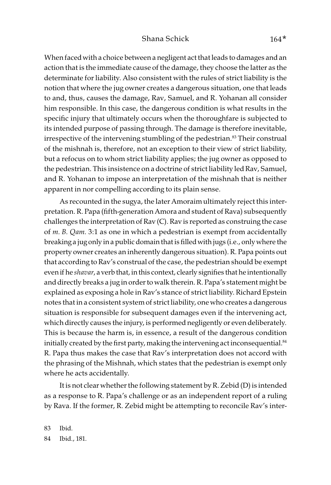When faced with a choice between a negligent act that leads to damages and an action that is the immediate cause of the damage, they choose the latter as the determinate for liability. Also consistent with the rules of strict liability is the notion that where the jug owner creates a dangerous situation, one that leads to and, thus, causes the damage, Rav, Samuel, and R. Yohanan all consider him responsible. In this case, the dangerous condition is what results in the specific injury that ultimately occurs when the thoroughfare is subjected to its intended purpose of passing through. The damage is therefore inevitable, irrespective of the intervening stumbling of the pedestrian.<sup>83</sup> Their construal of the mishnah is, therefore, not an exception to their view of strict liability, but a refocus on to whom strict liability applies; the jug owner as opposed to the pedestrian. This insistence on a doctrine of strict liability led Rav, Samuel, and R. Yohanan to impose an interpretation of the mishnah that is neither apparent in nor compelling according to its plain sense.

As recounted in the sugya, the later Amoraim ultimately reject this interpretation. R. Papa (fifth-generation Amora and student of Rava) subsequently challenges the interpretation of Rav (C). Rav is reported as construing the case of  $m$ . B. Qam. 3:1 as one in which a pedestrian is exempt from accidentally breaking a jug only in a public domain that is filled with jugs (i.e., only where the property owner creates an inherently dangerous situation). R. Papa points out that according to Rav's construal of the case, the pedestrian should be exempt even if he shavar, a verb that, in this context, clearly signifies that he intentionally and directly breaks a jug in order to walk therein. R. Papa's statement might be explained as exposing a hole in Rav's stance of strict liability. Richard Epstein notes that in a consistent system of strict liability, one who creates a dangerous situation is responsible for subsequent damages even if the intervening act, which directly causes the injury, is performed negligently or even deliberately. This is because the harm is, in essence, a result of the dangerous condition initially created by the first party, making the intervening act inconsequential.<sup>84</sup> R. Papa thus makes the case that Rav's interpretation does not accord with the phrasing of the Mishnah, which states that the pedestrian is exempt only where he acts accidentally.

It is not clear whether the following statement by R. Zebid (D) is intended as a response to R. Papa's challenge or as an independent report of a ruling by Rava. If the former, R. Zebid might be attempting to reconcile Rav's inter-

83 Ibid. 84 Ibid., 181.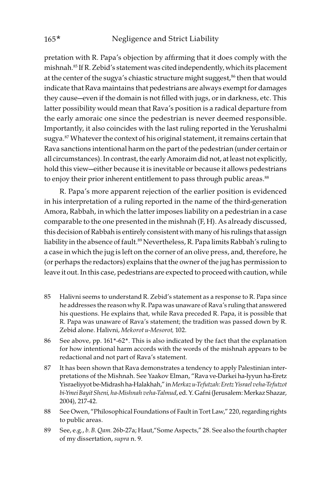pretation with R. Papa's objection by affirming that it does comply with the mishnah.85 If R. Zebid's statement was cited independently, which its placement at the center of the sugya's chiastic structure might suggest,<sup>86</sup> then that would indicate that Rava maintains that pedestrians are always exempt for damages they cause—even if the domain is not filled with jugs, or in darkness, etc. This latter possibility would mean that Rava's position is a radical departure from the early amoraic one since the pedestrian is never deemed responsible. Importantly, it also coincides with the last ruling reported in the Yerushalmi sugya.<sup>87</sup> Whatever the context of his original statement, it remains certain that Rava sanctions intentional harm on the part of the pedestrian (under certain or all circumstances). In contrast, the early Amoraim did not, at least not explicitly, hold this view—either because it is inevitable or because it allows pedestrians to enjoy their prior inherent entitlement to pass through public areas.<sup>88</sup>

R. Papa's more apparent rejection of the earlier position is evidenced in his interpretation of a ruling reported in the name of the third-generation Amora, Rabbah, in which the latter imposes liability on a pedestrian in a case comparable to the one presented in the mishnah (F, H). As already discussed, this decision of Rabbah is entirely consistent with many of his rulings that assign liability in the absence of fault.<sup>89</sup> Nevertheless, R. Papa limits Rabbah's ruling to a case in which the jug is left on the corner of an olive press, and, therefore, he (or perhaps the redactors) explains that the owner of the jug has permission to leave it out. In this case, pedestrians are expected to proceed with caution, while

- 85 Halivni seems to understand R. Zebid's statement as a response to R. Papa since he addresses the reason why R. Papa was unaware of Rava's ruling that answered his questions. He explains that, while Rava preceded R. Papa, it is possible that R. Papa was unaware of Rava's statement; the tradition was passed down by R. Zebid alone. Halivni, Mekorot u-Mesorot, 102.
- 86 See above, pp. 161\*-62\*. This is also indicated by the fact that the explanation for how intentional harm accords with the words of the mishnah appears to be redactional and not part of Rava's statement.
- 87 It has been shown that Rava demonstrates a tendency to apply Palestinian interpretations of the Mishnah. See Yaakov Elman, "Rava ve-Darkei ha-Iyyun ha-Eretz Yisraeliyyot be-Midrash ha-Halakhah," in Merkaz u-Tefutzah: Eretz Yisrael veha-Tefutzot bi-Ymei Bayit Sheni, ha-Mishnah veha-Talmud, ed. Y. Gafni (Jerusalem: Merkaz Shazar, 2004), 217-42.
- 88 See Owen, "Philosophical Foundations of Fault in Tort Law," 220, regarding rights to public areas.
- 89 See, e.g., b. B. Qam. 26b-27a; Haut,"Some Aspects," 28. See also the fourth chapter of my dissertation, supra n. 9.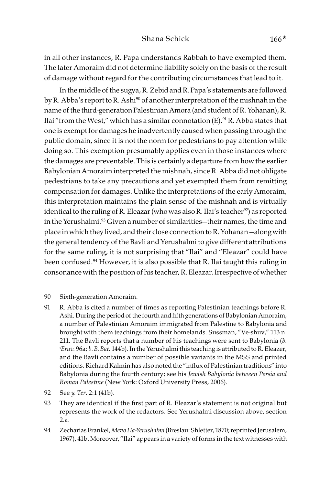## Shana Schick 166\*

in all other instances, R. Papa understands Rabbah to have exempted them. The later Amoraim did not determine liability solely on the basis of the result of damage without regard for the contributing circumstances that lead to it.

In the middle of the sugya, R. Zebid and R. Papa's statements are followed by R. Abba's report to R. Ashi<sup>90</sup> of another interpretation of the mishnah in the name of the third-generation Palestinian Amora (and student of R. Yohanan), R. Ilai "from the West," which has a similar connotation  $(E)$ . <sup>91</sup> R. Abba states that one is exempt for damages he inadvertently caused when passing through the public domain, since it is not the norm for pedestrians to pay attention while doing so. This exemption presumably applies even in those instances where the damages are preventable. This is certainly a departure from how the earlier Babylonian Amoraim interpreted the mishnah, since R. Abba did not obligate pedestrians to take any precautions and yet exempted them from remitting compensation for damages. Unlike the interpretations of the early Amoraim, this interpretation maintains the plain sense of the mishnah and is virtually identical to the ruling of R. Eleazar (who was also R. Ilai's teacher<sup>92</sup>) as reported in the Yerushalmi.<sup>93</sup> Given a number of similarities—their names, the time and place in which they lived, and their close connection to R. Yohanan —along with the general tendency of the Bavli and Yerushalmi to give different attributions for the same ruling, it is not surprising that "Ilai" and "Eleazar" could have been confused.<sup>94</sup> However, it is also possible that R. Ilai taught this ruling in consonance with the position of his teacher, R. Eleazar. Irrespective of whether

- 90 Sixth-generation Amoraim.
- 91 R. Abba is cited a number of times as reporting Palestinian teachings before R. Ashi. During the period of the fourth and fifth generations of Babylonian Amoraim, a number of Palestinian Amoraim immigrated from Palestine to Babylonia and brought with them teachings from their homelands. Sussman, "Ve-shuv," 113 n. 211. The Bavli reports that a number of his teachings were sent to Babylonia  $(b.$ >Eruv. 96a; b. B. Bat. 144b). In the Yerushalmi this teaching is attributed to R. Eleazer, and the Bavli contains a number of possible variants in the MSS and printed editions. Richard Kalmin has also noted the "influx of Palestinian traditions" into Babylonia during the fourth century; see his Jewish Babylonia between Persia and Roman Palestine (New York: Oxford University Press, 2006).
- 92 See y. Ter. 2:1 (41b).
- 93 They are identical if the first part of R. Eleazar's statement is not original but represents the work of the redactors. See Yerushalmi discussion above, section 2.a.
- 94 Zecharias Frankel, Mevo Ha-Yerushalmi (Breslau: Shletter, 1870; reprinted Jerusalem, 1967), 41b. Moreover, "Ilai" appears in a variety of forms in the text witnesses with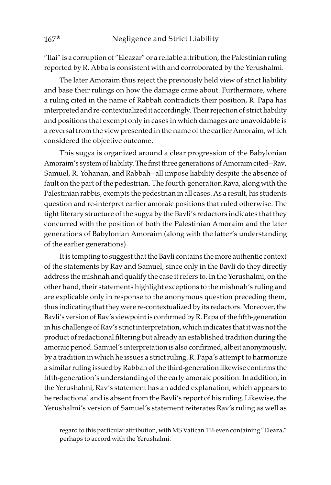"Ilai" is a corruption of "Eleazar" or a reliable attribution, the Palestinian ruling reported by R. Abba is consistent with and corroborated by the Yerushalmi.

The later Amoraim thus reject the previously held view of strict liability and base their rulings on how the damage came about. Furthermore, where a ruling cited in the name of Rabbah contradicts their position, R. Papa has interpreted and re-contextualized it accordingly. Their rejection of strict liability and positions that exempt only in cases in which damages are unavoidable is a reversal from the view presented in the name of the earlier Amoraim, which considered the objective outcome.

This sugya is organized around a clear progression of the Babylonian Amoraim's system of liability. The first three generations of Amoraim cited—Rav, Samuel, R. Yohanan, and Rabbah—all impose liability despite the absence of fault on the part of the pedestrian. The fourth-generation Rava, along with the Palestinian rabbis, exempts the pedestrian in all cases. As a result, his students question and re-interpret earlier amoraic positions that ruled otherwise. The tight literary structure of the sugya by the Bavli's redactors indicates that they concurred with the position of both the Palestinian Amoraim and the later generations of Babylonian Amoraim (along with the latter's understanding of the earlier generations).

It is tempting to suggest that the Bavli contains the more authentic context of the statements by Rav and Samuel, since only in the Bavli do they directly address the mishnah and qualify the case it refers to. In the Yerushalmi, on the other hand, their statements highlight exceptions to the mishnah's ruling and are explicable only in response to the anonymous question preceding them, thus indicating that they were re-contextualized by its redactors. Moreover, the Bavli's version of Rav's viewpoint is confirmed by R. Papa of the fifth-generation in his challenge of Rav's strict interpretation, which indicates that it was not the product of redactional filtering but already an established tradition during the amoraic period. Samuel's interpretation is also confirmed, albeit anonymously, by a tradition in which he issues a strict ruling. R. Papa's attempt to harmonize a similar ruling issued by Rabbah of the third-generation likewise confirms the fifth-generation's understanding of the early amoraic position. In addition, in the Yerushalmi, Rav's statement has an added explanation, which appears to be redactional and is absent from the Bavli's report of his ruling. Likewise, the Yerushalmi's version of Samuel's statement reiterates Rav's ruling as well as

regard to this particular attribution, with MS Vatican 116 even containing "Eleaza," perhaps to accord with the Yerushalmi.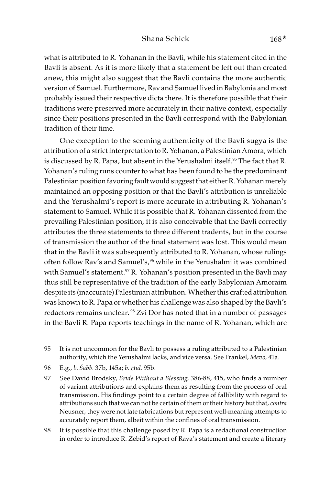#### Shana Schick 168\*

what is attributed to R. Yohanan in the Bavli, while his statement cited in the Bavli is absent. As it is more likely that a statement be left out than created anew, this might also suggest that the Bavli contains the more authentic version of Samuel. Furthermore, Rav and Samuel lived in Babylonia and most probably issued their respective dicta there. It is therefore possible that their traditions were preserved more accurately in their native context, especially since their positions presented in the Bavli correspond with the Babylonian tradition of their time.

One exception to the seeming authenticity of the Bavli sugya is the attribution of a strict interpretation to R. Yohanan, a Palestinian Amora, which is discussed by R. Papa, but absent in the Yerushalmi itself.<sup>95</sup> The fact that R. Yohanan's ruling runs counter to what has been found to be the predominant Palestinian position favoring fault would suggest that either R. Yohanan merely maintained an opposing position or that the Bavli's attribution is unreliable and the Yerushalmi's report is more accurate in attributing R. Yohanan's statement to Samuel. While it is possible that R. Yohanan dissented from the prevailing Palestinian position, it is also conceivable that the Bavli correctly attributes the three statements to three different tradents, but in the course of transmission the author of the final statement was lost. This would mean that in the Bavli it was subsequently attributed to R. Yohanan, whose rulings often follow Rav's and Samuel's,<sup>96</sup> while in the Yerushalmi it was combined with Samuel's statement.<sup>97</sup> R. Yohanan's position presented in the Bavli may thus still be representative of the tradition of the early Babylonian Amoraim despite its (inaccurate) Palestinian attribution. Whether this crafted attribution was known to R. Papa or whether his challenge was also shaped by the Bavli's redactors remains unclear. 98 Zvi Dor has noted that in a number of passages in the Bavli R. Papa reports teachings in the name of R. Yohanan, which are

- 95 It is not uncommon for the Bavli to possess a ruling attributed to a Palestinian authority, which the Yerushalmi lacks, and vice versa. See Frankel, Mevo, 41a.
- 96 E.g., b. *Š*abb. 37b, 145a; b. *Ḥ*ul. 95b.
- 97 See David Brodsky, Bride Without a Blessing, 386-88, 415, who finds a number of variant attributions and explains them as resulting from the process of oral transmission. His findings point to a certain degree of fallibility with regard to attributions such that we can not be certain of them or their history but that, contra Neusner, they were not late fabrications but represent well-meaning attempts to accurately report them, albeit within the confines of oral transmission.
- 98 It is possible that this challenge posed by R. Papa is a redactional construction in order to introduce R. Zebid's report of Rava's statement and create a literary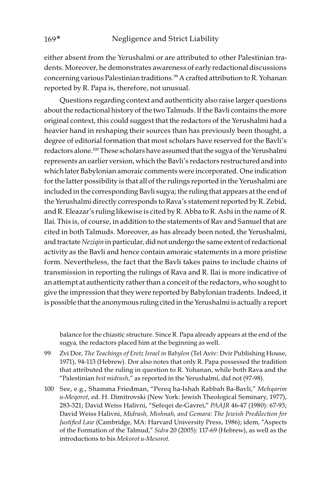either absent from the Yerushalmi or are attributed to other Palestinian tradents. Moreover, he demonstrates awareness of early redactional discussions concerning various Palestinian traditions.<sup>99</sup> A crafted attribution to R. Yohanan reported by R. Papa is, therefore, not unusual.

Questions regarding context and authenticity also raise larger questions about the redactional history of the two Talmuds. If the Bavli contains the more original context, this could suggest that the redactors of the Yerushalmi had a heavier hand in reshaping their sources than has previously been thought, a degree of editorial formation that most scholars have reserved for the Bavli's redactors alone.<sup>100</sup> These scholars have assumed that the sugya of the Yerushalmi represents an earlier version, which the Bavli's redactors restructured and into which later Babylonian amoraic comments were incorporated. One indication for the latter possibility is that all of the rulings reported in the Yerushalmi are included in the corresponding Bavli sugya; the ruling that appears at the end of the Yerushalmi directly corresponds to Rava's statement reported by R. Zebid, and R. Eleazar's ruling likewise is cited by R. Abba to R. Ashi in the name of R. Ilai. This is, of course, in addition to the statements of Rav and Samuel that are cited in both Talmuds. Moreover, as has already been noted, the Yerushalmi, and tractate Neziqin in particular, did not undergo the same extent of redactional activity as the Bavli and hence contain amoraic statements in a more pristine form. Nevertheless, the fact that the Bavli takes pains to include chains of transmission in reporting the rulings of Rava and R. Ilai is more indicative of an attempt at authenticity rather than a conceit of the redactors, who sought to give the impression that they were reported by Babylonian tradents. Indeed, it is possible that the anonymous ruling cited in the Yerushalmi is actually a report

balance for the chiastic structure. Since R. Papa already appears at the end of the sugya, the redactors placed him at the beginning as well.

- 99 Zvi Dor, The Teachings of Eretz Israel in Babylon (Tel Aviv: Dvir Publishing House, 1971), 94-113 (Hebrew). Dor also notes that only R. Papa possessed the tradition that attributed the ruling in question to R. Yohanan, while both Rava and the "Palestinian beit midrash," as reported in the Yerushalmi, did not (97-98).
- 100 See, e.g., Shamma Friedman, "Pereq ha-Ishah Rabbah Ba-Bavli," Mehqarim u-Meqorot, ed. H. Dimitrovski (New York: Jewish Theological Seminary, 1977), 283-321; David Weiss Halivni, "Sefeqei de-Gavrei," PAAJR 46-47 (1980): 67-93; David Weiss Halivni, Midrash, Mishnah, and Gemara: The Jewish Predilection for Justified Law (Cambridge, MA: Harvard University Press, 1986); idem, "Aspects of the Formation of the Talmud," Sidra 20 (2005): 117-69 (Hebrew), as well as the introductions to his Mekorot u-Mesorot.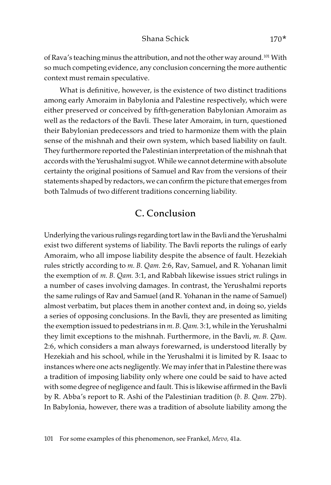of Rava's teaching minus the attribution, and not the other way around.<sup>101</sup> With so much competing evidence, any conclusion concerning the more authentic context must remain speculative.

What is definitive, however, is the existence of two distinct traditions among early Amoraim in Babylonia and Palestine respectively, which were either preserved or conceived by fifth-generation Babylonian Amoraim as well as the redactors of the Bavli. These later Amoraim, in turn, questioned their Babylonian predecessors and tried to harmonize them with the plain sense of the mishnah and their own system, which based liability on fault. They furthermore reported the Palestinian interpretation of the mishnah that accords with the Yerushalmi sugyot. While we cannot determine with absolute certainty the original positions of Samuel and Rav from the versions of their statements shaped by redactors, we can confirm the picture that emerges from both Talmuds of two different traditions concerning liability.

## C. Conclusion

Underlying the various rulings regarding tort law in the Bavli and the Yerushalmi exist two different systems of liability. The Bavli reports the rulings of early Amoraim, who all impose liability despite the absence of fault. Hezekiah rules strictly according to m. B. Qam. 2:6, Rav, Samuel, and R. Yohanan limit the exemption of m. B. Qam. 3:1, and Rabbah likewise issues strict rulings in a number of cases involving damages. In contrast, the Yerushalmi reports the same rulings of Rav and Samuel (and R. Yohanan in the name of Samuel) almost verbatim, but places them in another context and, in doing so, yields a series of opposing conclusions. In the Bavli, they are presented as limiting the exemption issued to pedestrians in m. B. Qam. 3:1, while in the Yerushalmi they limit exceptions to the mishnah. Furthermore, in the Bavli, m. B. Qam. 2:6, which considers a man always forewarned, is understood literally by Hezekiah and his school, while in the Yerushalmi it is limited by R. Isaac to instances where one acts negligently. We may infer that in Palestine there was a tradition of imposing liability only where one could be said to have acted with some degree of negligence and fault. This is likewise affirmed in the Bavli by R. Abba's report to R. Ashi of the Palestinian tradition (b. B. Qam. 27b). In Babylonia, however, there was a tradition of absolute liability among the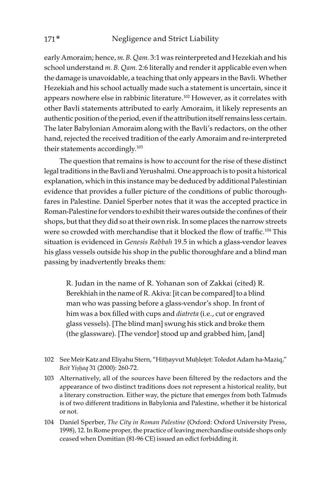early Amoraim; hence, m. B. Qam. 3:1 was reinterpreted and Hezekiah and his school understand m. B. Qam. 2:6 literally and render it applicable even when the damage is unavoidable, a teaching that only appears in the Bavli. Whether Hezekiah and his school actually made such a statement is uncertain, since it appears nowhere else in rabbinic literature.102 However, as it correlates with other Bavli statements attributed to early Amoraim, it likely represents an authentic position of the period, even if the attribution itself remains less certain. The later Babylonian Amoraim along with the Bavli's redactors, on the other hand, rejected the received tradition of the early Amoraim and re-interpreted their statements accordingly.<sup>103</sup>

The question that remains is how to account for the rise of these distinct legal traditions in the Bavli and Yerushalmi. One approach is to posit a historical explanation, which in this instance may be deduced by additional Palestinian evidence that provides a fuller picture of the conditions of public thoroughfares in Palestine. Daniel Sperber notes that it was the accepted practice in Roman-Palestine for vendors to exhibit their wares outside the confines of their shops, but that they did so at their own risk. In some places the narrow streets were so crowded with merchandise that it blocked the flow of traffic.<sup>104</sup> This situation is evidenced in Genesis Rabbah 19.5 in which a glass-vendor leaves his glass vessels outside his shop in the public thoroughfare and a blind man passing by inadvertently breaks them:

R. Judan in the name of R. Yohanan son of Zakkai (cited) R. Berekhiah in the name of R. Akiva: [it can be compared] to a blind man who was passing before a glass-vendor's shop. In front of him was a box filled with cups and diatreta (i.e., cut or engraved glass vessels). [The blind man] swung his stick and broke them (the glassware). [The vendor] stood up and grabbed him, [and]

- 102 See Meir Katz and Eliyahu Stern, "Hitḥayvut Muḥleṭet: Toledot Adam ha-Maziq," Beit Yi*ṣḥ*aq 31 (2000): 260-72.
- 103 Alternatively, all of the sources have been filtered by the redactors and the appearance of two distinct traditions does not represent a historical reality, but a literary construction. Either way, the picture that emerges from both Talmuds is of two different traditions in Babylonia and Palestine, whether it be historical or not.
- 104 Daniel Sperber, The City in Roman Palestine (Oxford: Oxford University Press, 1998), 12. In Rome proper, the practice of leaving merchandise outside shops only ceased when Domitian (81-96 CE) issued an edict forbidding it.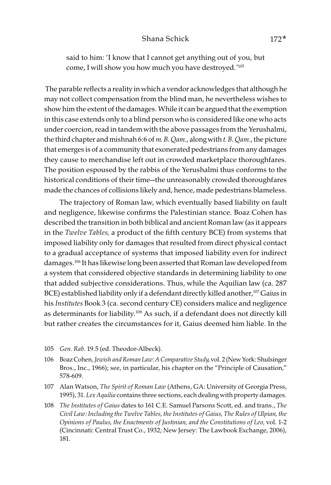#### Shana Schick 172\*

said to him: 'I know that I cannot get anything out of you, but come, I will show you how much you have destroyed.'105

 The parable reflects a reality in which a vendor acknowledges that although he may not collect compensation from the blind man, he nevertheless wishes to show him the extent of the damages. While it can be argued that the exemption in this case extends only to a blind person who is considered like one who acts under coercion, read in tandem with the above passages from the Yerushalmi, the third chapter and mishnah 6:6 of m. B. Qam., along with t. B. Qam., the picture that emerges is of a community that exonerated pedestrians from any damages they cause to merchandise left out in crowded marketplace thoroughfares. The position espoused by the rabbis of the Yerushalmi thus conforms to the historical conditions of their time—the unreasonably crowded thoroughfares made the chances of collisions likely and, hence, made pedestrians blameless.

The trajectory of Roman law, which eventually based liability on fault and negligence, likewise confirms the Palestinian stance. Boaz Cohen has described the transition in both biblical and ancient Roman law (as it appears in the Twelve Tables, a product of the fifth century BCE) from systems that imposed liability only for damages that resulted from direct physical contact to a gradual acceptance of systems that imposed liability even for indirect damages.<sup>106</sup> It has likewise long been asserted that Roman law developed from a system that considered objective standards in determining liability to one that added subjective considerations. Thus, while the Aquilian law (ca. 287 BCE) established liability only if a defendant directly killed another,<sup>107</sup> Gaius in his Institutes Book 3 (ca. second century CE) considers malice and negligence as determinants for liability.108 As such, if a defendant does not directly kill but rather creates the circumstances for it, Gaius deemed him liable. In the

- 105 Gen. Rab. 19.5 (ed. Theodor-Albeck).
- 106 Boaz Cohen, Jewish and Roman Law: A Comparative Study, vol. 2 (New York: Shulsinger Bros., Inc., 1966); see, in particular, his chapter on the "Principle of Causation," 578-609.
- 107 Alan Watson, The Spirit of Roman Law (Athens, GA: University of Georgia Press, 1995), 31. Lex Aquilia contains three sections, each dealing with property damages.
- 108 The Institutes of Gaius dates to 161 C.E. Samuel Parsons Scott, ed. and trans., The Civil Law: Including the Twelve Tables, the Institutes of Gaius, The Rules of Ulpian, the Opinions of Paulus, the Enactments of Justinian, and the Constitutions of Leo, vol. 1-2 (Cincinnati: Central Trust Co., 1932; New Jersey: The Lawbook Exchange, 2006), 181.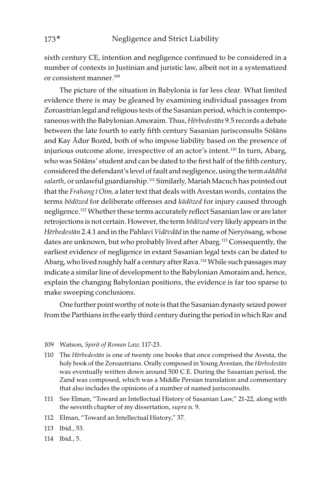sixth century CE, intention and negligence continued to be considered in a number of contexts in Justinian and juristic law, albeit not in a systematized or consistent manner.109

The picture of the situation in Babylonia is far less clear. What limited evidence there is may be gleaned by examining individual passages from Zoroastrian legal and religious texts of the Sasanian period, which is contemporaneous with the Babylonian Amoraim. Thus, H*ē*rbedest*ā*n 9.5 records a debate between the late fourth to early fifth century Sasanian jurisconsults Sōšāns and Kay Ādur Bozēd, both of who impose liability based on the presence of injurious outcome alone, irrespective of an actor's intent.<sup>110</sup> In turn, Abarg, who was Sōšāns' student and can be dated to the first half of the fifth century, considered the defendant's level of fault and negligence, using the term ad*ā*d*ī*h*ā*  salar*ī*h, or unlawful guardianship.111 Similarly, Mariah Macuch has pointed out that the Frahang *ī* Oim, a later text that deals with Avestan words, contains the terms b*ō*d*ō*zed for deliberate offenses and k*ā*d*ō*zed for injury caused through negligence.112 Whether these terms accurately reflect Sasanian law or are later retrojections is not certain. However, the term b*ō*d*ō*zed very likely appears in the H*ē*rbedest*ā*n 2.4.1 and in the Pahlavi Vid*ē*vd*ā*d in the name of Neryōsang, whose dates are unknown, but who probably lived after Abarg.113 Consequently, the earliest evidence of negligence in extant Sasanian legal texts can be dated to Abarg, who lived roughly half a century after Rava.<sup>114</sup> While such passages may indicate a similar line of development to the Babylonian Amoraim and, hence, explain the changing Babylonian positions, the evidence is far too sparse to make sweeping conclusions.

One further point worthy of note is that the Sasanian dynasty seized power from the Parthians in the early third century during the period in which Rav and

- 109 Watson, Spirit of Roman Law, 117-23.
- 110 The H*ē*rbedest*ā*n is one of twenty one books that once comprised the Avesta, the holy book of the Zoroastrians. Orally composed in Young Avestan, the H*ē*rbedest*ā*n was eventually written down around 500 C.E. During the Sasanian period, the Zand was composed, which was a Middle Persian translation and commentary that also includes the opinions of a number of named jurisconsults.
- 111 See Elman, "Toward an Intellectual History of Sasanian Law," 21-22, along with the seventh chapter of my dissertation, supra n. 9.
- 112 Elman, "Toward an Intellectual History," 37.
- 113 Ibid., 53.
- 114 Ibid., 5.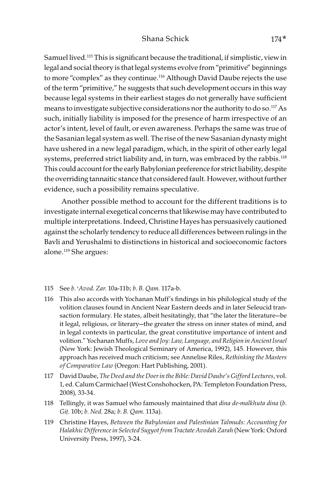Samuel lived.<sup>115</sup> This is significant because the traditional, if simplistic, view in legal and social theory is that legal systems evolve from "primitive" beginnings to more "complex" as they continue.<sup>116</sup> Although David Daube rejects the use of the term "primitive," he suggests that such development occurs in this way because legal systems in their earliest stages do not generally have sufficient means to investigate subjective considerations nor the authority to do so.<sup>117</sup> As such, initially liability is imposed for the presence of harm irrespective of an actor's intent, level of fault, or even awareness. Perhaps the same was true of the Sasanian legal system as well. The rise of the new Sasanian dynasty might have ushered in a new legal paradigm, which, in the spirit of other early legal systems, preferred strict liability and, in turn, was embraced by the rabbis.<sup>118</sup> This could account for the early Babylonian preference for strict liability, despite the overriding tannaitic stance that considered fault. However, without further evidence, such a possibility remains speculative.

 Another possible method to account for the different traditions is to investigate internal exegetical concerns that likewise may have contributed to multiple interpretations. Indeed, Christine Hayes has persuasively cautioned against the scholarly tendency to reduce all differences between rulings in the Bavli and Yerushalmi to distinctions in historical and socioeconomic factors alone.119 She argues:

- 115 See b. >Avod. Zar. 10a-11b; b. B. Qam. 117a-b.
- 116 This also accords with Yochanan Muff's findings in his philological study of the volition clauses found in Ancient Near Eastern deeds and in later Seleucid transaction formulary. He states, albeit hesitatingly, that "the later the literature—be it legal, religious, or literary—the greater the stress on inner states of mind, and in legal contexts in particular, the great constitutive importance of intent and volition." Yochanan Muffs, Love and Joy: Law, Language, and Religion in Ancient Israel (New York: Jewish Theological Seminary of America, 1992), 145. However, this approach has received much criticism; see Annelise Riles, Rethinking the Masters of Comparative Law (Oregon: Hart Publishing, 2001).
- 117 David Daube, The Deed and the Doer in the Bible: David Daube's Gifford Lectures, vol. 1, ed. Calum Carmichael (West Conshohocken, PA: Templeton Foundation Press, 2008), 33-34.
- 118 Tellingly, it was Samuel who famously maintained that dina de-malkhuta dina (b. Gi*ṭ*. 10b; b. Ned. 28a; b. B. Qam. 113a).
- 119 Christine Hayes, Between the Babylonian and Palestinian Talmuds: Accounting for Halakhic Difference in Selected Sugyot from Tractate Avodah Zarah (New York: Oxford University Press, 1997), 3-24.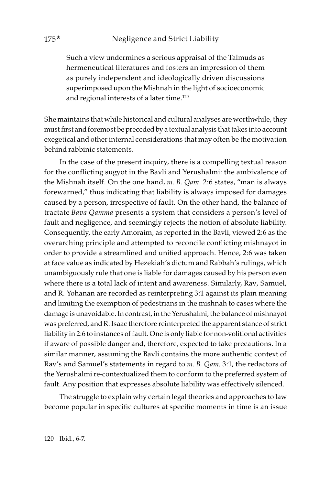Such a view undermines a serious appraisal of the Talmuds as hermeneutical literatures and fosters an impression of them as purely independent and ideologically driven discussions superimposed upon the Mishnah in the light of socioeconomic and regional interests of a later time.<sup>120</sup>

She maintains that while historical and cultural analyses are worthwhile, they must first and foremost be preceded by a textual analysis that takes into account exegetical and other internal considerations that may often be the motivation behind rabbinic statements.

In the case of the present inquiry, there is a compelling textual reason for the conflicting sugyot in the Bavli and Yerushalmi: the ambivalence of the Mishnah itself. On the one hand, m. B. Qam. 2:6 states, "man is always forewarned," thus indicating that liability is always imposed for damages caused by a person, irrespective of fault. On the other hand, the balance of tractate Bava Qamma presents a system that considers a person's level of fault and negligence, and seemingly rejects the notion of absolute liability. Consequently, the early Amoraim, as reported in the Bavli, viewed 2:6 as the overarching principle and attempted to reconcile conflicting mishnayot in order to provide a streamlined and unified approach. Hence, 2:6 was taken at face value as indicated by Hezekiah's dictum and Rabbah's rulings, which unambiguously rule that one is liable for damages caused by his person even where there is a total lack of intent and awareness. Similarly, Rav, Samuel, and R. Yohanan are recorded as reinterpreting 3:1 against its plain meaning and limiting the exemption of pedestrians in the mishnah to cases where the damage is unavoidable. In contrast, in the Yerushalmi, the balance of mishnayot was preferred, and R. Isaac therefore reinterpreted the apparent stance of strict liability in 2:6 to instances of fault. One is only liable for non-volitional activities if aware of possible danger and, therefore, expected to take precautions. In a similar manner, assuming the Bavli contains the more authentic context of Rav's and Samuel's statements in regard to m. B. Qam. 3:1, the redactors of the Yerushalmi re-contextualized them to conform to the preferred system of fault. Any position that expresses absolute liability was effectively silenced.

The struggle to explain why certain legal theories and approaches to law become popular in specific cultures at specific moments in time is an issue